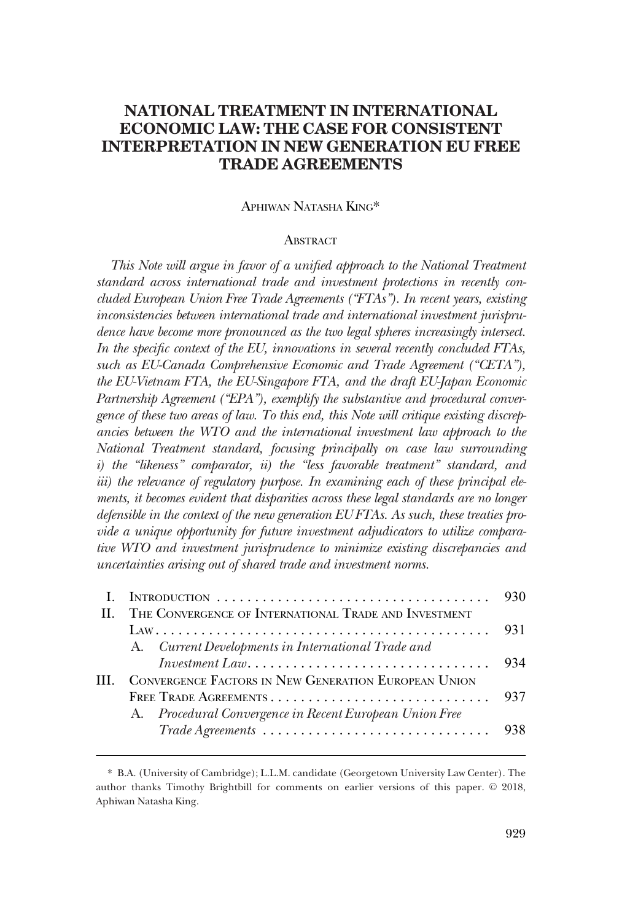# **NATIONAL TREATMENT IN INTERNATIONAL ECONOMIC LAW: THE CASE FOR CONSISTENT INTERPRETATION IN NEW GENERATION EU FREE TRADE AGREEMENTS**

# APHIWAN NATASHA KING\*

# **ABSTRACT**

*This Note will argue in favor of a unified approach to the National Treatment standard across international trade and investment protections in recently concluded European Union Free Trade Agreements ("FTAs"). In recent years, existing inconsistencies between international trade and international investment jurisprudence have become more pronounced as the two legal spheres increasingly intersect. In the specific context of the EU, innovations in several recently concluded FTAs, such as EU-Canada Comprehensive Economic and Trade Agreement ("CETA"), the EU-Vietnam FTA, the EU-Singapore FTA, and the draft EU-Japan Economic Partnership Agreement ("EPA"), exemplify the substantive and procedural convergence of these two areas of law. To this end, this Note will critique existing discrepancies between the WTO and the international investment law approach to the National Treatment standard, focusing principally on case law surrounding i) the "likeness" comparator, ii) the "less favorable treatment" standard, and*  iii) the relevance of regulatory purpose. In examining each of these principal ele*ments, it becomes evident that disparities across these legal standards are no longer defensible in the context of the new generation EU FTAs. As such, these treaties provide a unique opportunity for future investment adjudicators to utilize comparative WTO and investment jurisprudence to minimize existing discrepancies and uncertainties arising out of shared trade and investment norms.* 

|   | II. THE CONVERGENCE OF INTERNATIONAL TRADE AND INVESTMENT             |      |
|---|-----------------------------------------------------------------------|------|
|   |                                                                       | -931 |
|   | A. Current Developments in International Trade and                    |      |
|   | $Investment\ Law.\dots.\dots.\dots.\dots.\dots.\dots.\dots\dots\dots$ | 934  |
| Ш | CONVERGENCE FACTORS IN NEW GENERATION EUROPEAN UNION                  |      |
|   |                                                                       |      |
|   | A. Procedural Convergence in Recent European Union Free               |      |
|   |                                                                       |      |
|   |                                                                       |      |

<sup>\*</sup> B.A. (University of Cambridge); L.L.M. candidate (Georgetown University Law Center). The author thanks Timothy Brightbill for comments on earlier versions of this paper.  $©$  2018, Aphiwan Natasha King.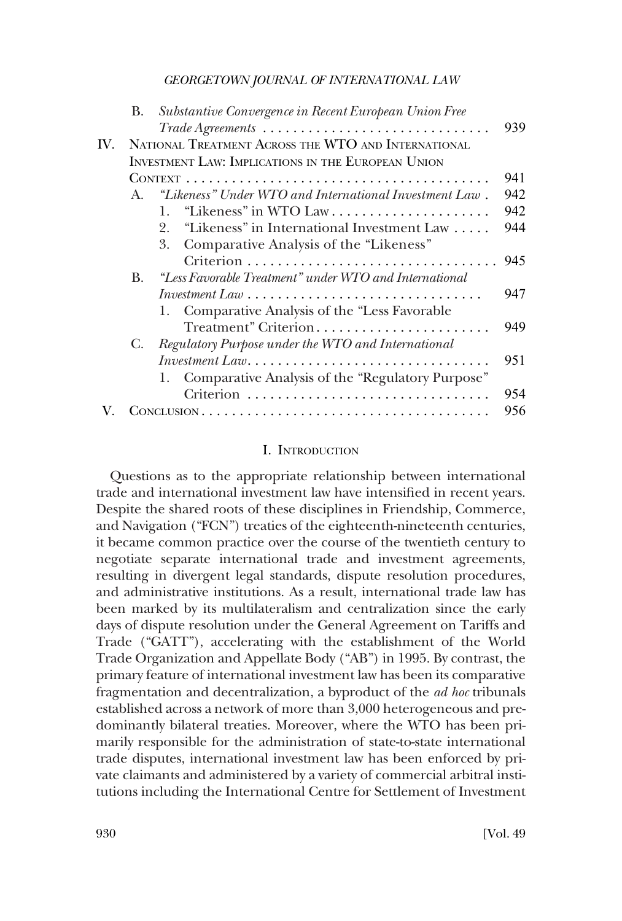<span id="page-1-0"></span>

|     | B.           | Substantive Convergence in Recent European Union Free                                                           |     |
|-----|--------------|-----------------------------------------------------------------------------------------------------------------|-----|
|     |              |                                                                                                                 | 939 |
| IV. |              | NATIONAL TREATMENT ACROSS THE WTO AND INTERNATIONAL                                                             |     |
|     |              | <b>INVESTMENT LAW: IMPLICATIONS IN THE EUROPEAN UNION</b>                                                       |     |
|     |              |                                                                                                                 | 941 |
|     | $\mathbf{A}$ | "Likeness" Under WTO and International Investment Law.                                                          | 942 |
|     |              | "Likeness" in WTO Law<br>$\mathbf{1}_{\cdot}$                                                                   | 942 |
|     |              | "Likeness" in International Investment Law<br>2.                                                                | 944 |
|     |              | Comparative Analysis of the "Likeness"<br>3.                                                                    |     |
|     |              |                                                                                                                 | 945 |
|     | B.           | "Less Favorable Treatment" under WTO and International                                                          |     |
|     |              | Investment Law $\ldots$ , $\ldots$ , $\ldots$ , $\ldots$ , $\ldots$ , $\ldots$ , $\ldots$ , $\ldots$ , $\ldots$ | 947 |
|     |              | Comparative Analysis of the "Less Favorable<br>1.                                                               |     |
|     |              | Treatment" Criterion                                                                                            | 949 |
|     | С.           | Regulatory Purpose under the WTO and International                                                              |     |
|     |              | $Investment\ Law.\dots.\dots.\dots.\dots.\dots.\dots.\dots\dots\dots$                                           | 951 |
|     |              | Comparative Analysis of the "Regulatory Purpose"<br>1.                                                          |     |
|     |              | Criterion                                                                                                       | 954 |
|     |              |                                                                                                                 | 956 |
|     |              |                                                                                                                 |     |

#### I. INTRODUCTION

Questions as to the appropriate relationship between international trade and international investment law have intensified in recent years. Despite the shared roots of these disciplines in Friendship, Commerce, and Navigation ("FCN") treaties of the eighteenth-nineteenth centuries, it became common practice over the course of the twentieth century to negotiate separate international trade and investment agreements, resulting in divergent legal standards, dispute resolution procedures, and administrative institutions. As a result, international trade law has been marked by its multilateralism and centralization since the early days of dispute resolution under the General Agreement on Tariffs and Trade ("GATT"), accelerating with the establishment of the World Trade Organization and Appellate Body ("AB") in 1995. By contrast, the primary feature of international investment law has been its comparative fragmentation and decentralization, a byproduct of the *ad hoc* tribunals established across a network of more than 3,000 heterogeneous and predominantly bilateral treaties. Moreover, where the WTO has been primarily responsible for the administration of state-to-state international trade disputes, international investment law has been enforced by private claimants and administered by a variety of commercial arbitral institutions including the International Centre for Settlement of Investment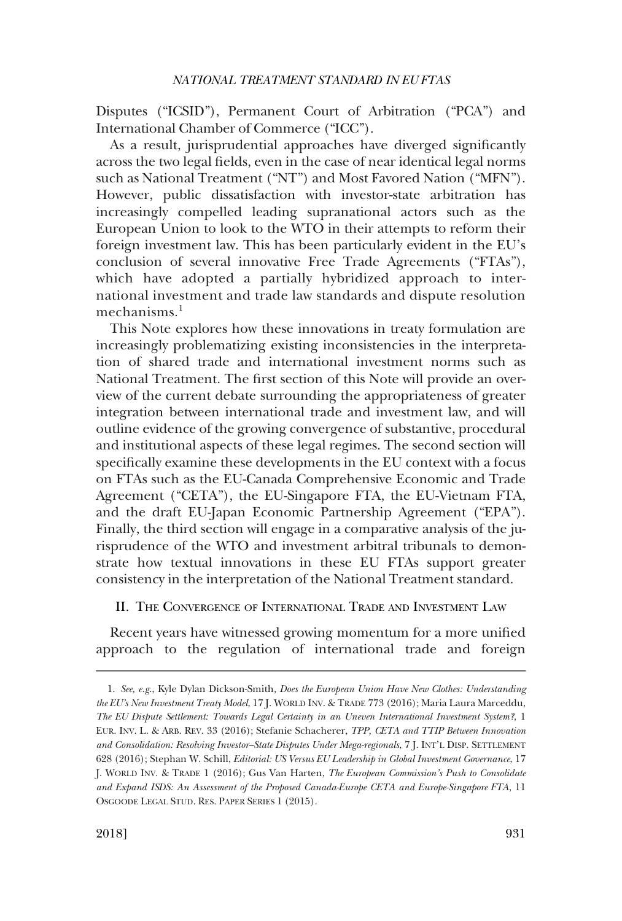<span id="page-2-0"></span>Disputes ("ICSID"), Permanent Court of Arbitration ("PCA") and International Chamber of Commerce ("ICC").

As a result, jurisprudential approaches have diverged significantly across the two legal fields, even in the case of near identical legal norms such as National Treatment ("NT") and Most Favored Nation ("MFN"). However, public dissatisfaction with investor-state arbitration has increasingly compelled leading supranational actors such as the European Union to look to the WTO in their attempts to reform their foreign investment law. This has been particularly evident in the EU's conclusion of several innovative Free Trade Agreements ("FTAs"), which have adopted a partially hybridized approach to international investment and trade law standards and dispute resolution mechanisms. $<sup>1</sup>$ </sup>

This Note explores how these innovations in treaty formulation are increasingly problematizing existing inconsistencies in the interpretation of shared trade and international investment norms such as National Treatment. The first section of this Note will provide an overview of the current debate surrounding the appropriateness of greater integration between international trade and investment law, and will outline evidence of the growing convergence of substantive, procedural and institutional aspects of these legal regimes. The second section will specifically examine these developments in the EU context with a focus on FTAs such as the EU-Canada Comprehensive Economic and Trade Agreement ("CETA"), the EU-Singapore FTA, the EU-Vietnam FTA, and the draft EU-Japan Economic Partnership Agreement ("EPA"). Finally, the third section will engage in a comparative analysis of the jurisprudence of the WTO and investment arbitral tribunals to demonstrate how textual innovations in these EU FTAs support greater consistency in the interpretation of the National Treatment standard.

II. THE CONVERGENCE OF INTERNATIONAL TRADE AND INVESTMENT LAW

Recent years have witnessed growing momentum for a more unified approach to the regulation of international trade and foreign

<sup>1.</sup> *See, e.g*., Kyle Dylan Dickson-Smith*, Does the European Union Have New Clothes: Understanding the EU's New Investment Treaty Model*, 17 J. WORLD INV. & TRADE 773 (2016); Maria Laura Marceddu, *The EU Dispute Settlement: Towards Legal Certainty in an Uneven International Investment System?*, 1 EUR. INV. L. & ARB. REV. 33 (2016); Stefanie Schacherer, *TPP, CETA and TTIP Between Innovation and Consolidation: Resolving Investor–State Disputes Under Mega-regionals*, 7 J. INT'L DISP. SETTLEMENT 628 (2016); Stephan W. Schill, *Editorial: US Versus EU Leadership in Global Investment Governance*, 17 J. WORLD INV. & TRADE 1 (2016); Gus Van Harten, *The European Commission's Push to Consolidate and Expand ISDS: An Assessment of the Proposed Canada-Europe CETA and Europe-Singapore FTA*, 11 OSGOODE LEGAL STUD. RES. PAPER SERIES 1 (2015).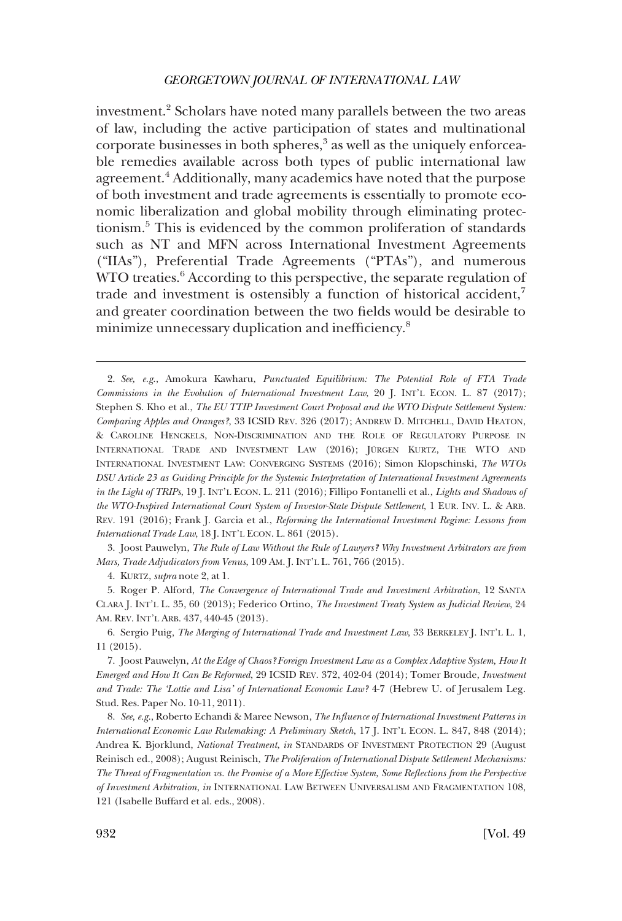investment.<sup>2</sup> Scholars have noted many parallels between the two areas of law, including the active participation of states and multinational corporate businesses in both spheres,<sup>3</sup> as well as the uniquely enforceable remedies available across both types of public international law agreement.<sup>4</sup> Additionally, many academics have noted that the purpose of both investment and trade agreements is essentially to promote economic liberalization and global mobility through eliminating protectionism.5 This is evidenced by the common proliferation of standards such as NT and MFN across International Investment Agreements ("IIAs"), Preferential Trade Agreements ("PTAs"), and numerous WTO treaties.<sup> $6$ </sup> According to this perspective, the separate regulation of trade and investment is ostensibly a function of historical accident,<sup>7</sup> and greater coordination between the two fields would be desirable to minimize unnecessary duplication and inefficiency.<sup>8</sup>

3. Joost Pauwelyn, *The Rule of Law Without the Rule of Lawyers? Why Investment Arbitrators are from Mars, Trade Adjudicators from Venus*, 109 AM. J. INT'L L. 761, 766 (2015).

4. KURTZ, *supra* note 2, at 1.

5. Roger P. Alford, *The Convergence of International Trade and Investment Arbitration*, 12 SANTA CLARA J. INT'L L. 35, 60 (2013); Federico Ortino, *The Investment Treaty System as Judicial Review*, 24 AM. REV. INT'L ARB. 437, 440-45 (2013).

6. Sergio Puig, *The Merging of International Trade and Investment Law*, 33 BERKELEY J. INT'L L. 1, 11 (2015).

7. Joost Pauwelyn, *At the Edge of Chaos? Foreign Investment Law as a Complex Adaptive System, How It Emerged and How It Can Be Reformed*, 29 ICSID REV. 372, 402-04 (2014); Tomer Broude, *Investment and Trade: The 'Lottie and Lisa' of International Economic Law?* 4-7 (Hebrew U. of Jerusalem Leg. Stud. Res. Paper No. 10-11, 2011).

8. *See, e.g*., Roberto Echandi & Maree Newson, *The Influence of International Investment Patterns in International Economic Law Rulemaking: A Preliminary Sketch*, 17 J. INT'L ECON. L. 847, 848 (2014); Andrea K. Bjorklund, *National Treatment*, *in* STANDARDS OF INVESTMENT PROTECTION 29 (August Reinisch ed., 2008); August Reinisch, *The Proliferation of International Dispute Settlement Mechanisms: The Threat of Fragmentation vs. the Promise of a More Effective System, Some Reflections from the Perspective of Investment Arbitration*, *in* INTERNATIONAL LAW BETWEEN UNIVERSALISM AND FRAGMENTATION 108, 121 (Isabelle Buffard et al. eds., 2008).

<sup>2.</sup> *See, e.g*., Amokura Kawharu, *Punctuated Equilibrium: The Potential Role of FTA Trade Commissions in the Evolution of International Investment Law*, 20 J. INT'L ECON. L. 87 (2017); Stephen S. Kho et al., *The EU TTIP Investment Court Proposal and the WTO Dispute Settlement System: Comparing Apples and Oranges?*, 33 ICSID REV. 326 (2017); ANDREW D. MITCHELL, DAVID HEATON, & CAROLINE HENCKELS, NON-DISCRIMINATION AND THE ROLE OF REGULATORY PURPOSE IN INTERNATIONAL TRADE AND INVESTMENT LAW (2016); JÜRGEN KURTZ, THE WTO AND INTERNATIONAL INVESTMENT LAW: CONVERGING SYSTEMS (2016); Simon Klopschinski, *The WTOs DSU Article 23 as Guiding Principle for the Systemic Interpretation of International Investment Agreements in the Light of TRIPs*, 19 J. INT'L ECON. L. 211 (2016); Fillipo Fontanelli et al., *Lights and Shadows of the WTO-Inspired International Court System of Investor-State Dispute Settlement*, 1 EUR. INV. L. & ARB. REV. 191 (2016); Frank J. Garcia et al., *Reforming the International Investment Regime: Lessons from International Trade Law*, 18 J. INT'L ECON. L. 861 (2015).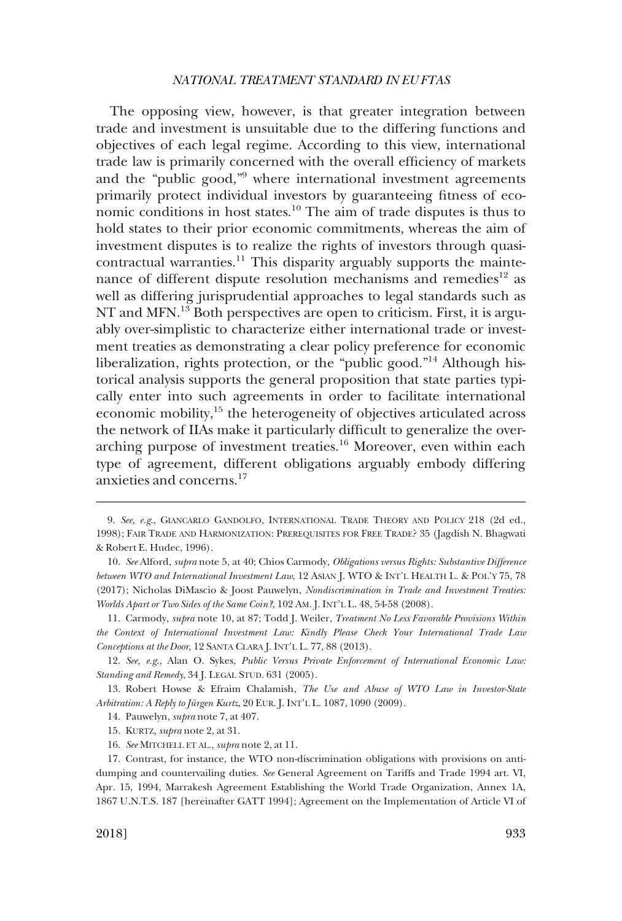The opposing view, however, is that greater integration between trade and investment is unsuitable due to the differing functions and objectives of each legal regime. According to this view, international trade law is primarily concerned with the overall efficiency of markets and the "public good,"9 where international investment agreements primarily protect individual investors by guaranteeing fitness of economic conditions in host states.10 The aim of trade disputes is thus to hold states to their prior economic commitments, whereas the aim of investment disputes is to realize the rights of investors through quasicontractual warranties.11 This disparity arguably supports the maintenance of different dispute resolution mechanisms and remedies<sup>12</sup> as well as differing jurisprudential approaches to legal standards such as NT and MFN.<sup>13</sup> Both perspectives are open to criticism. First, it is arguably over-simplistic to characterize either international trade or investment treaties as demonstrating a clear policy preference for economic liberalization, rights protection, or the "public good."14 Although historical analysis supports the general proposition that state parties typically enter into such agreements in order to facilitate international economic mobility,<sup>15</sup> the heterogeneity of objectives articulated across the network of IIAs make it particularly difficult to generalize the overarching purpose of investment treaties.<sup>16</sup> Moreover, even within each type of agreement, different obligations arguably embody differing anxieties and concerns.17

<sup>9.</sup> *See, e.g*., GIANCARLO GANDOLFO, INTERNATIONAL TRADE THEORY AND POLICY 218 (2d ed., 1998); FAIR TRADE AND HARMONIZATION: PREREQUISITES FOR FREE TRADE? 35 (Jagdish N. Bhagwati & Robert E. Hudec, 1996).

<sup>10.</sup> *See* Alford, *supra* note 5, at 40; Chios Carmody, *Obligations versus Rights: Substantive Difference between WTO and International Investment Law*, 12 ASIAN J. WTO & INT'L HEALTH L. & POL'Y 75, 78 (2017); Nicholas DiMascio & Joost Pauwelyn, *Nondiscrimination in Trade and Investment Treaties: Worlds Apart or Two Sides of the Same Coin?*, 102 AM. J. INT'L L. 48, 54-58 (2008).

<sup>11.</sup> Carmody, *supra* note 10, at 87; Todd J. Weiler, *Treatment No Less Favorable Provisions Within the Context of International Investment Law: Kindly Please Check Your International Trade Law Conceptions at the Door*, 12 SANTA CLARA J. INT'L L. 77, 88 (2013).

<sup>12.</sup> *See, e.g*., Alan O. Sykes, *Public Versus Private Enforcement of International Economic Law: Standing and Remedy*, 34 J. LEGAL STUD. 631 (2005).

<sup>13.</sup> Robert Howse & Efraim Chalamish, *The Use and Abuse of WTO Law in Investor-State Arbitration: A Reply to Jürgen Kurtz*, 20 EUR. J. INT'L L. 1087, 1090 (2009).

<sup>14.</sup> Pauwelyn, *supra* note 7, at 407.

<sup>15.</sup> KURTZ, *supra* note 2, at 31.

<sup>16.</sup> *See* MITCHELL ET AL., *supra* note 2, at 11.

<sup>17.</sup> Contrast, for instance, the WTO non-discrimination obligations with provisions on antidumping and countervailing duties. *See* General Agreement on Tariffs and Trade 1994 art. VI, Apr. 15, 1994, Marrakesh Agreement Establishing the World Trade Organization, Annex 1A, 1867 U.N.T.S. 187 [hereinafter GATT 1994]; Agreement on the Implementation of Article VI of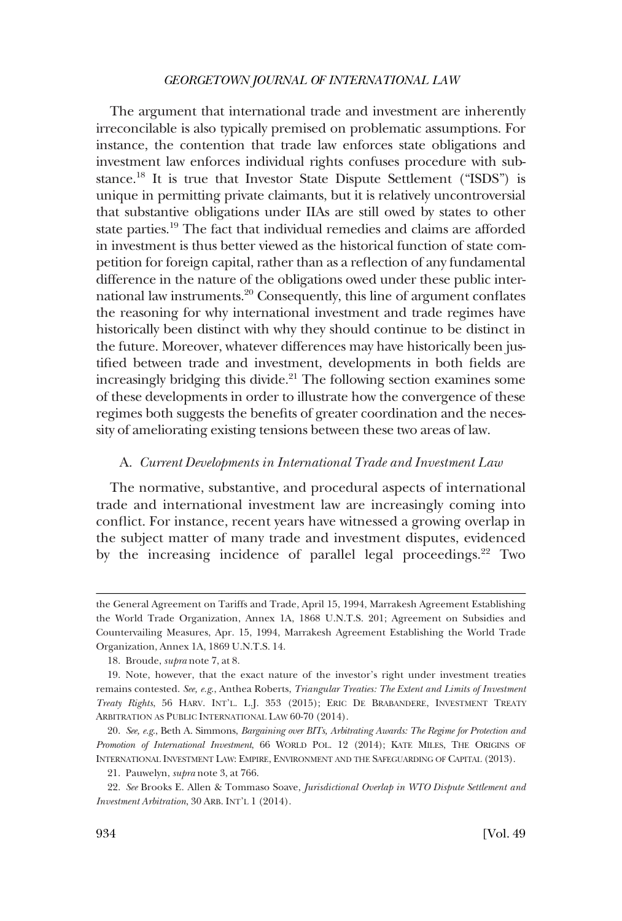<span id="page-5-0"></span>The argument that international trade and investment are inherently irreconcilable is also typically premised on problematic assumptions. For instance, the contention that trade law enforces state obligations and investment law enforces individual rights confuses procedure with substance.18 It is true that Investor State Dispute Settlement ("ISDS") is unique in permitting private claimants, but it is relatively uncontroversial that substantive obligations under IIAs are still owed by states to other state parties.<sup>19</sup> The fact that individual remedies and claims are afforded in investment is thus better viewed as the historical function of state competition for foreign capital, rather than as a reflection of any fundamental difference in the nature of the obligations owed under these public international law instruments.20 Consequently, this line of argument conflates the reasoning for why international investment and trade regimes have historically been distinct with why they should continue to be distinct in the future. Moreover, whatever differences may have historically been justified between trade and investment, developments in both fields are increasingly bridging this divide.<sup>21</sup> The following section examines some of these developments in order to illustrate how the convergence of these regimes both suggests the benefits of greater coordination and the necessity of ameliorating existing tensions between these two areas of law.

# A. *Current Developments in International Trade and Investment Law*

The normative, substantive, and procedural aspects of international trade and international investment law are increasingly coming into conflict. For instance, recent years have witnessed a growing overlap in the subject matter of many trade and investment disputes, evidenced by the increasing incidence of parallel legal proceedings.<sup>22</sup> Two

the General Agreement on Tariffs and Trade, April 15, 1994, Marrakesh Agreement Establishing the World Trade Organization, Annex 1A, 1868 U.N.T.S. 201; Agreement on Subsidies and Countervailing Measures, Apr. 15, 1994, Marrakesh Agreement Establishing the World Trade Organization, Annex 1A, 1869 U.N.T.S. 14.

<sup>18.</sup> Broude, *supra* note 7, at 8.

<sup>19.</sup> Note, however, that the exact nature of the investor's right under investment treaties remains contested. *See, e.g*., Anthea Roberts, *Triangular Treaties: The Extent and Limits of Investment Treaty Rights*, 56 HARV. INT'L. L.J. 353 (2015); ERIC DE BRABANDERE, INVESTMENT TREATY ARBITRATION AS PUBLIC INTERNATIONAL LAW 60-70 (2014).

<sup>20.</sup> *See, e.g*., Beth A. Simmons, *Bargaining over BITs, Arbitrating Awards: The Regime for Protection and Promotion of International Investment*, 66 WORLD POL. 12 (2014); KATE MILES, THE ORIGINS OF INTERNATIONAL INVESTMENT LAW: EMPIRE, ENVIRONMENT AND THE SAFEGUARDING OF CAPITAL (2013).

<sup>21.</sup> Pauwelyn, *supra* note 3, at 766.

<sup>22.</sup> *See* Brooks E. Allen & Tommaso Soave, *Jurisdictional Overlap in WTO Dispute Settlement and Investment Arbitration*, 30 ARB. INT'L 1 (2014).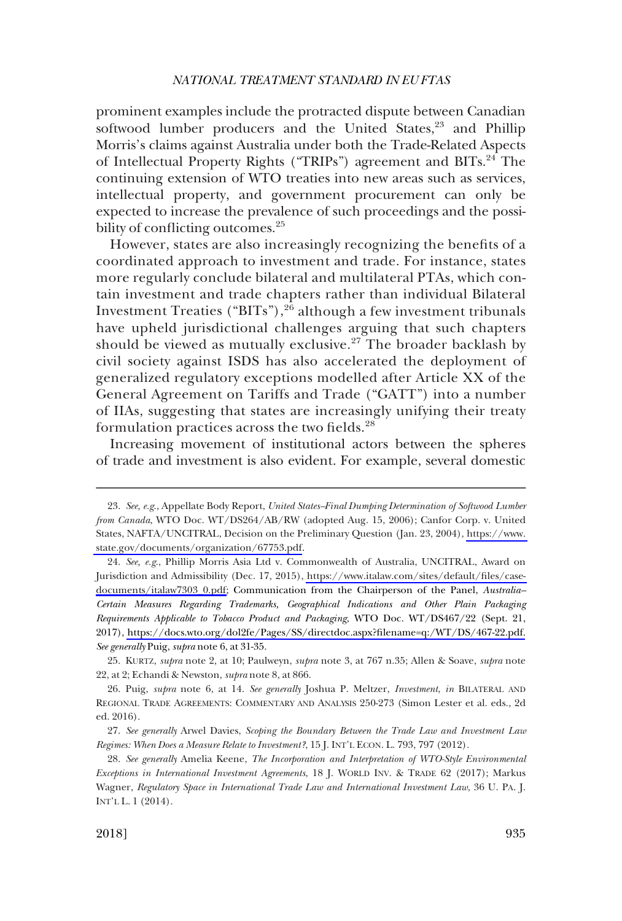prominent examples include the protracted dispute between Canadian softwood lumber producers and the United States,<sup>23</sup> and Phillip Morris's claims against Australia under both the Trade-Related Aspects of Intellectual Property Rights ("TRIPs") agreement and BITs.<sup>24</sup> The continuing extension of WTO treaties into new areas such as services, intellectual property, and government procurement can only be expected to increase the prevalence of such proceedings and the possibility of conflicting outcomes.<sup>25</sup>

However, states are also increasingly recognizing the benefits of a coordinated approach to investment and trade. For instance, states more regularly conclude bilateral and multilateral PTAs, which contain investment and trade chapters rather than individual Bilateral Investment Treaties ("BITs"), $2\overline{6}$  although a few investment tribunals have upheld jurisdictional challenges arguing that such chapters should be viewed as mutually exclusive.27 The broader backlash by civil society against ISDS has also accelerated the deployment of generalized regulatory exceptions modelled after Article XX of the General Agreement on Tariffs and Trade ("GATT") into a number of IIAs, suggesting that states are increasingly unifying their treaty formulation practices across the two fields.<sup>28</sup>

Increasing movement of institutional actors between the spheres of trade and investment is also evident. For example, several domestic

*See, e.g*., Appellate Body Report, *United States–Final Dumping Determination of Softwood Lumber*  23. *from Canada*, WTO Doc. WT/DS264/AB/RW (adopted Aug. 15, 2006); Canfor Corp. v. United States, NAFTA/UNCITRAL, Decision on the Preliminary Question (Jan. 23, 2004), [https://www.](https://www.state.gov/documents/organization/67753.pdf)  [state.gov/documents/organization/67753.pdf](https://www.state.gov/documents/organization/67753.pdf).

<sup>24.</sup> See, e.g., Phillip Morris Asia Ltd v. Commonwealth of Australia, UNCITRAL, Award on Jurisdiction and Admissibility (Dec. 17, 2015), [https://www.italaw.com/sites/default/files/case](https://www.italaw.com/sites/default/files/case-documents/italaw7303_0.pdf)[documents/italaw7303\\_0.pdf;](https://www.italaw.com/sites/default/files/case-documents/italaw7303_0.pdf) Communication from the Chairperson of the Panel, *Australia– Certain Measures Regarding Trademarks, Geographical Indications and Other Plain Packaging Requirements Applicable to Tobacco Product and Packaging*, WTO Doc. WT/DS467/22 (Sept. 21, 2017), [https://docs.wto.org/dol2fe/Pages/SS/directdoc.aspx?filename=q:/WT/DS/467-22.pdf.](https://docs.wto.org/dol2fe/Pages/SS/directdoc.aspx?filename=q:/WT/DS/467-22.pdf) *See generally* Puig, *supra* note 6, at 31-35.

<sup>25.</sup> KURTZ, *supra* note 2, at 10; Paulweyn, *supra* note 3, at 767 n.35; Allen & Soave, *supra* note 22, at 2; Echandi & Newston, *supra* note 8, at 866.

<sup>26.</sup> Puig, *supra* note 6, at 14. *See generally* Joshua P. Meltzer, *Investment*, *in* BILATERAL AND REGIONAL TRADE AGREEMENTS: COMMENTARY AND ANALYSIS 250-273 (Simon Lester et al. eds., 2d ed. 2016).

<sup>27.</sup> *See generally* Arwel Davies, *Scoping the Boundary Between the Trade Law and Investment Law Regimes: When Does a Measure Relate to Investment?*, 15 J. INT'L ECON. L. 793, 797 (2012).

<sup>28.</sup> *See generally* Amelia Keene, *The Incorporation and Interpretation of WTO-Style Environmental Exceptions in International Investment Agreements*, 18 J. WORLD INV. & TRADE 62 (2017); Markus Wagner, *Regulatory Space in International Trade Law and International Investment Law*, 36 U. PA. J. INT'L L. 1 (2014).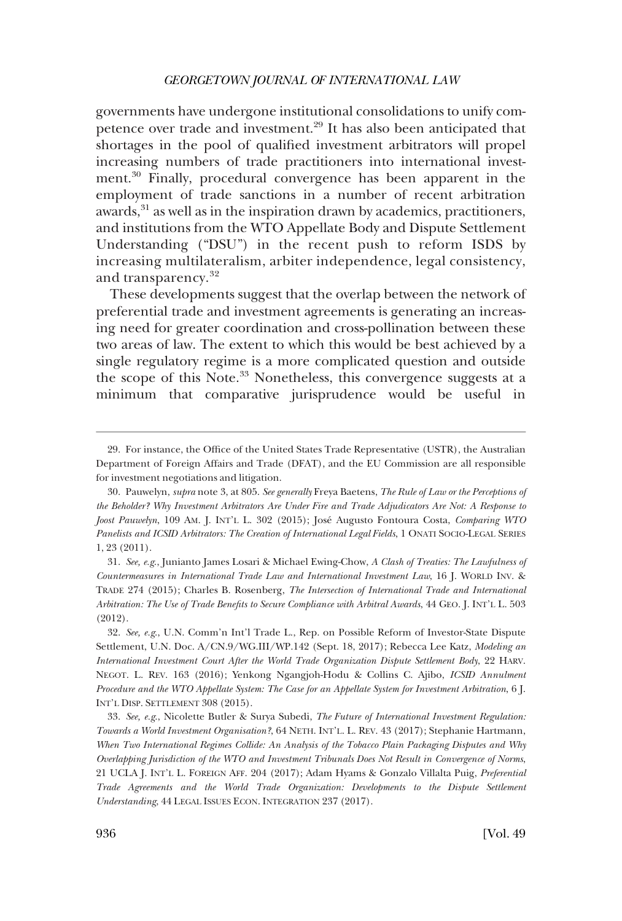governments have undergone institutional consolidations to unify competence over trade and investment.29 It has also been anticipated that shortages in the pool of qualified investment arbitrators will propel increasing numbers of trade practitioners into international investment.30 Finally, procedural convergence has been apparent in the employment of trade sanctions in a number of recent arbitration awards,<sup>31</sup> as well as in the inspiration drawn by academics, practitioners, and institutions from the WTO Appellate Body and Dispute Settlement Understanding ("DSU") in the recent push to reform ISDS by increasing multilateralism, arbiter independence, legal consistency, and transparency.<sup>32</sup>

These developments suggest that the overlap between the network of preferential trade and investment agreements is generating an increasing need for greater coordination and cross-pollination between these two areas of law. The extent to which this would be best achieved by a single regulatory regime is a more complicated question and outside the scope of this Note.<sup>33</sup> Nonetheless, this convergence suggests at a minimum that comparative jurisprudence would be useful in

31. *See, e.g*., Junianto James Losari & Michael Ewing-Chow, *A Clash of Treaties: The Lawfulness of Countermeasures in International Trade Law and International Investment Law*, 16 J. WORLD INV. & TRADE 274 (2015); Charles B. Rosenberg, *The Intersection of International Trade and International Arbitration: The Use of Trade Benefits to Secure Compliance with Arbitral Awards*, 44 GEO. J. INT'L L. 503 (2012).

32. *See, e.g*., U.N. Comm'n Int'l Trade L., Rep. on Possible Reform of Investor-State Dispute Settlement, U.N. Doc. A/CN.9/WG.III/WP.142 (Sept. 18, 2017); Rebecca Lee Katz, *Modeling an International Investment Court After the World Trade Organization Dispute Settlement Body*, 22 HARV. NEGOT. L. REV. 163 (2016); Yenkong Ngangjoh-Hodu & Collins C. Ajibo, *ICSID Annulment Procedure and the WTO Appellate System: The Case for an Appellate System for Investment Arbitration*, 6 J. INT'L DISP. SETTLEMENT 308 (2015).

33. *See, e.g*., Nicolette Butler & Surya Subedi, *The Future of International Investment Regulation: Towards a World Investment Organisation?*, 64 NETH. INT'L. L. REV. 43 (2017); Stephanie Hartmann, *When Two International Regimes Collide: An Analysis of the Tobacco Plain Packaging Disputes and Why Overlapping Jurisdiction of the WTO and Investment Tribunals Does Not Result in Convergence of Norms*, 21 UCLA J. INT'L L. FOREIGN AFF. 204 (2017); Adam Hyams & Gonzalo Villalta Puig, *Preferential Trade Agreements and the World Trade Organization: Developments to the Dispute Settlement Understanding*, 44 LEGAL ISSUES ECON. INTEGRATION 237 (2017).

<sup>29.</sup> For instance, the Office of the United States Trade Representative (USTR), the Australian Department of Foreign Affairs and Trade (DFAT), and the EU Commission are all responsible for investment negotiations and litigation.

<sup>30.</sup> Pauwelyn, *supra* note 3, at 805. *See generally* Freya Baetens, *The Rule of Law or the Perceptions of the Beholder? Why Investment Arbitrators Are Under Fire and Trade Adjudicators Are Not: A Response to Joost Pauwelyn*, 109 AM. J. INT'L L. 302 (2015); Jose´ Augusto Fontoura Costa, *Comparing WTO Panelists and ICSID Arbitrators: The Creation of International Legal Fields*, 1 ONATI SOCIO-LEGAL SERIES 1, 23 (2011).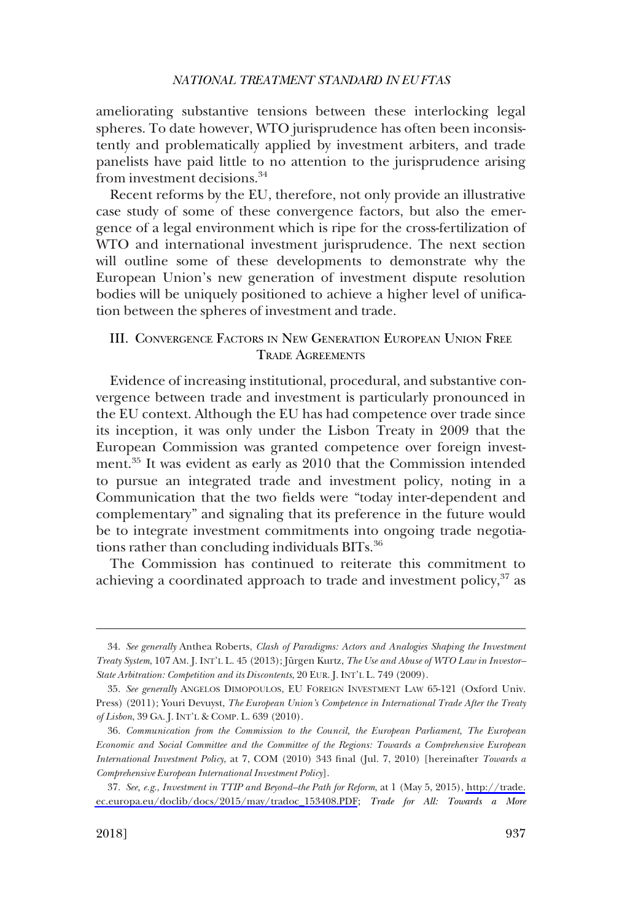<span id="page-8-0"></span>ameliorating substantive tensions between these interlocking legal spheres. To date however, WTO jurisprudence has often been inconsistently and problematically applied by investment arbiters, and trade panelists have paid little to no attention to the jurisprudence arising from investment decisions.<sup>34</sup>

Recent reforms by the EU, therefore, not only provide an illustrative case study of some of these convergence factors, but also the emergence of a legal environment which is ripe for the cross-fertilization of WTO and international investment jurisprudence. The next section will outline some of these developments to demonstrate why the European Union's new generation of investment dispute resolution bodies will be uniquely positioned to achieve a higher level of unification between the spheres of investment and trade.

# III. CONVERGENCE FACTORS IN NEW GENERATION EUROPEAN UNION FREE TRADE AGREEMENTS

Evidence of increasing institutional, procedural, and substantive convergence between trade and investment is particularly pronounced in the EU context. Although the EU has had competence over trade since its inception, it was only under the Lisbon Treaty in 2009 that the European Commission was granted competence over foreign investment.35 It was evident as early as 2010 that the Commission intended to pursue an integrated trade and investment policy, noting in a Communication that the two fields were "today inter-dependent and complementary" and signaling that its preference in the future would be to integrate investment commitments into ongoing trade negotiations rather than concluding individuals BITs.<sup>36</sup>

The Commission has continued to reiterate this commitment to achieving a coordinated approach to trade and investment policy, $37$  as

<sup>34.</sup> *See generally* Anthea Roberts, *Clash of Paradigms: Actors and Analogies Shaping the Investment Treaty System, 107 AM. J. INT'L L. 45 (2013); Jürgen Kurtz, The Use and Abuse of WTO Law in Investor-State Arbitration: Competition and its Discontents*, 20 EUR. J. INT'L L. 749 (2009).

<sup>35.</sup> *See generally* ANGELOS DIMOPOULOS, EU FOREIGN INVESTMENT LAW 65-121 (Oxford Univ. Press) (2011); Youri Devuyst, *The European Union's Competence in International Trade After the Treaty of Lisbon*, 39 GA. J. INT'L & COMP. L. 639 (2010).

<sup>36.</sup> *Communication from the Commission to the Council, the European Parliament, The European Economic and Social Committee and the Committee of the Regions: Towards a Comprehensive European International Investment Policy*, at 7, COM (2010) 343 final (Jul. 7, 2010) [hereinafter *Towards a Comprehensive European International Investment Policy*].

*See, e.g*., *Investment in TTIP and Beyond–the Path for Reform*, at 1 (May 5, 2015), [http://trade.](http://trade.ec.europa.eu/doclib/docs/2015/may/tradoc_153408.PDF) 37. [ec.europa.eu/doclib/docs/2015/may/tradoc\\_153408.PDF;](http://trade.ec.europa.eu/doclib/docs/2015/may/tradoc_153408.PDF) *Trade for All: Towards a More*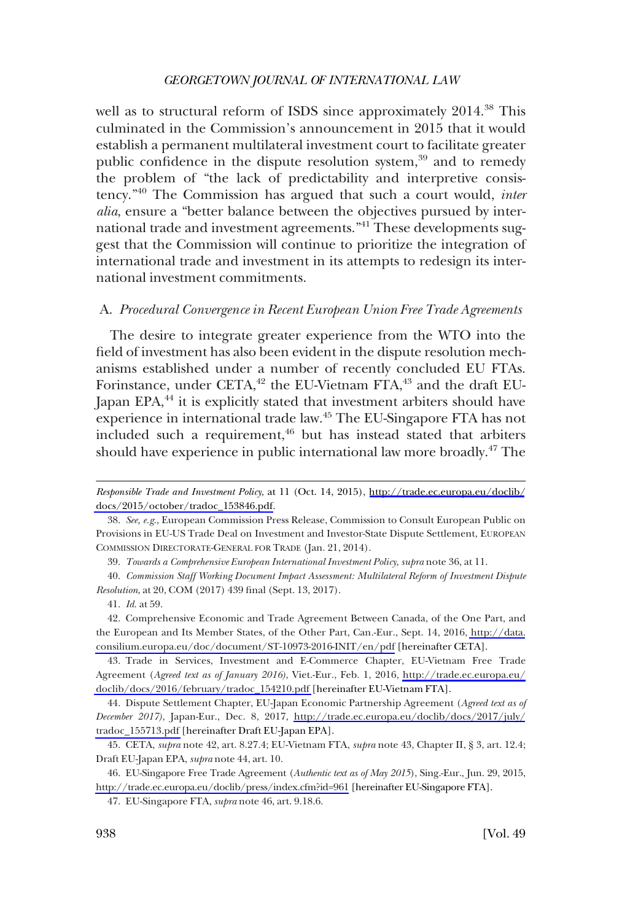<span id="page-9-0"></span>well as to structural reform of ISDS since approximately 2014.<sup>38</sup> This culminated in the Commission's announcement in 2015 that it would establish a permanent multilateral investment court to facilitate greater public confidence in the dispute resolution system, $39$  and to remedy the problem of "the lack of predictability and interpretive consistency."40 The Commission has argued that such a court would, *inter alia*, ensure a "better balance between the objectives pursued by international trade and investment agreements."41 These developments suggest that the Commission will continue to prioritize the integration of international trade and investment in its attempts to redesign its international investment commitments.

# A. *Procedural Convergence in Recent European Union Free Trade Agreements*

The desire to integrate greater experience from the WTO into the field of investment has also been evident in the dispute resolution mechanisms established under a number of recently concluded EU FTAs. Forinstance, under CETA,<sup>42</sup> the EU-Vietnam FTA,<sup>43</sup> and the draft EU-Japan EPA,<sup>44</sup> it is explicitly stated that investment arbiters should have experience in international trade law.<sup>45</sup> The EU-Singapore FTA has not included such a requirement,<sup>46</sup> but has instead stated that arbiters should have experience in public international law more broadly.47 The

*Responsible Trade and Investment Policy*, at 11 (Oct. 14, 2015), [http://trade.ec.europa.eu/doclib/](http://trade.ec.europa.eu/doclib/docs/2015/october/tradoc_153846.pdf) [docs/2015/october/tradoc\\_153846.pdf.](http://trade.ec.europa.eu/doclib/docs/2015/october/tradoc_153846.pdf)

<sup>38.</sup> *See, e.g*., European Commission Press Release, Commission to Consult European Public on Provisions in EU-US Trade Deal on Investment and Investor-State Dispute Settlement, EUROPEAN COMMISSION DIRECTORATE-GENERAL FOR TRADE (Jan. 21, 2014).

<sup>39.</sup> *Towards a Comprehensive European International Investment Policy*, *supra* note 36, at 11.

<sup>40.</sup> *Commission Staff Working Document Impact Assessment: Multilateral Reform of Investment Dispute Resolution*, at 20, COM (2017) 439 final (Sept. 13, 2017).

<sup>41.</sup> *Id*. at 59.

<sup>42.</sup> Comprehensive Economic and Trade Agreement Between Canada, of the One Part, and the European and Its Member States, of the Other Part, Can.-Eur., Sept. 14, 2016, [http://data.](http://data.consilium.europa.eu/doc/document/ST-10973-2016-INIT/en/pdf) [consilium.europa.eu/doc/document/ST-10973-2016-INIT/en/pdf](http://data.consilium.europa.eu/doc/document/ST-10973-2016-INIT/en/pdf) [hereinafter CETA].

Trade in Services, Investment and E-Commerce Chapter, EU-Vietnam Free Trade 43. Agreement (*Agreed text as of January 2016)*, Viet.-Eur., Feb. 1, 2016, [http://trade.ec.europa.eu/](http://trade.ec.europa.eu/doclib/docs/2016/february/tradoc_154210.pdf) [doclib/docs/2016/february/tradoc\\_154210.pdf](http://trade.ec.europa.eu/doclib/docs/2016/february/tradoc_154210.pdf) [hereinafter EU-Vietnam FTA].

Dispute Settlement Chapter, EU-Japan Economic Partnership Agreement (*Agreed text as of*  44. *December 2017)*, Japan-Eur., Dec. 8, 2017, [http://trade.ec.europa.eu/doclib/docs/2017/july/](http://trade.ec.europa.eu/doclib/docs/2017/july/tradoc_155713.pdf) [tradoc\\_155713.pdf](http://trade.ec.europa.eu/doclib/docs/2017/july/tradoc_155713.pdf) [hereinafter Draft EU-Japan EPA].

<sup>45.</sup> CETA, *supra* note 42, art. 8.27.4; EU-Vietnam FTA, *supra* note 43, Chapter II, § 3, art. 12.4; Draft EU-Japan EPA, *supra* note 44, art. 10.

EU-Singapore Free Trade Agreement (*Authentic text as of May 2015*), Sing.-Eur., Jun. 29, 2015, 46. <http://trade.ec.europa.eu/doclib/press/index.cfm?id=961>[hereinafter EU-Singapore FTA].

<sup>47.</sup> EU-Singapore FTA, *supra* note 46, art. 9.18.6.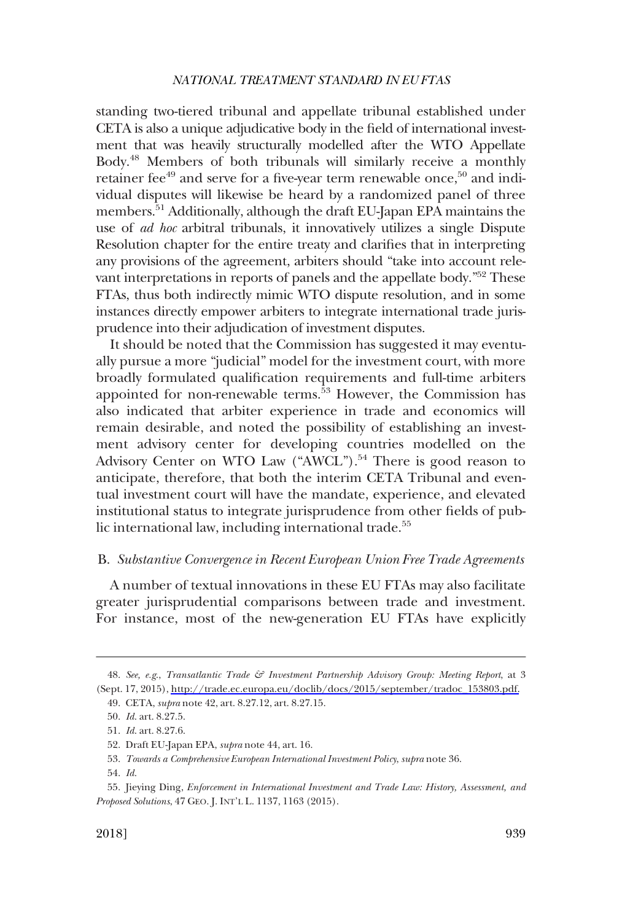<span id="page-10-0"></span>standing two-tiered tribunal and appellate tribunal established under CETA is also a unique adjudicative body in the field of international investment that was heavily structurally modelled after the WTO Appellate Body.48 Members of both tribunals will similarly receive a monthly retainer fee $49$  and serve for a five-year term renewable once,  $50$  and individual disputes will likewise be heard by a randomized panel of three members.51 Additionally, although the draft EU-Japan EPA maintains the use of *ad hoc* arbitral tribunals, it innovatively utilizes a single Dispute Resolution chapter for the entire treaty and clarifies that in interpreting any provisions of the agreement, arbiters should "take into account relevant interpretations in reports of panels and the appellate body.<sup>"52</sup> These FTAs, thus both indirectly mimic WTO dispute resolution, and in some instances directly empower arbiters to integrate international trade jurisprudence into their adjudication of investment disputes.

It should be noted that the Commission has suggested it may eventually pursue a more "judicial" model for the investment court, with more broadly formulated qualification requirements and full-time arbiters appointed for non-renewable terms.<sup>53</sup> However, the Commission has also indicated that arbiter experience in trade and economics will remain desirable, and noted the possibility of establishing an investment advisory center for developing countries modelled on the Advisory Center on WTO Law ("AWCL").<sup>54</sup> There is good reason to anticipate, therefore, that both the interim CETA Tribunal and eventual investment court will have the mandate, experience, and elevated institutional status to integrate jurisprudence from other fields of public international law, including international trade.<sup>55</sup>

# B. *Substantive Convergence in Recent European Union Free Trade Agreements*

A number of textual innovations in these EU FTAs may also facilitate greater jurisprudential comparisons between trade and investment. For instance, most of the new-generation EU FTAs have explicitly

*See, e.g*., *Transatlantic Trade & Investment Partnership Advisory Group: Meeting Report*, at 3 48. (Sept. 17, 2015), [http://trade.ec.europa.eu/doclib/docs/2015/september/tradoc\\_153803.pdf.](http://trade.ec.europa.eu/doclib/docs/2015/september/tradoc_153803.pdf) 49. CETA, *supra* note 42, art. 8.27.12, art. 8.27.15.

<sup>50.</sup> *Id*. art. 8.27.5.

<sup>51.</sup> *Id*. art. 8.27.6.

<sup>52.</sup> Draft EU-Japan EPA, *supra* note 44, art. 16.

<sup>53.</sup> *Towards a Comprehensive European International Investment Policy*, *supra* note 36.

<sup>54.</sup> *Id*.

<sup>55.</sup> Jieying Ding, *Enforcement in International Investment and Trade Law: History, Assessment, and Proposed Solutions*, 47 GEO. J. INT'L L. 1137, 1163 (2015).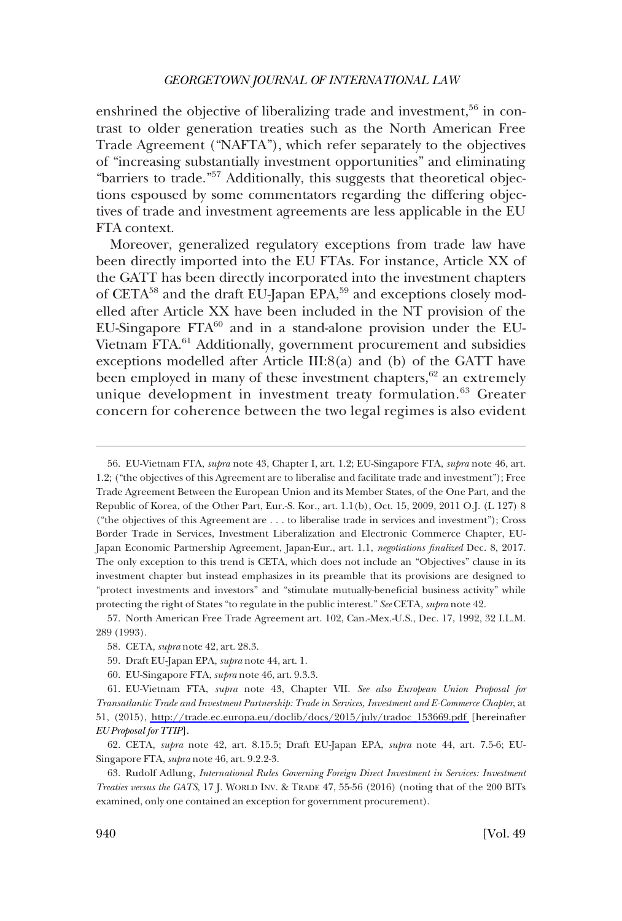enshrined the objective of liberalizing trade and investment,<sup>56</sup> in contrast to older generation treaties such as the North American Free Trade Agreement ("NAFTA"), which refer separately to the objectives of "increasing substantially investment opportunities" and eliminating "barriers to trade."57 Additionally, this suggests that theoretical objections espoused by some commentators regarding the differing objectives of trade and investment agreements are less applicable in the EU FTA context.

Moreover, generalized regulatory exceptions from trade law have been directly imported into the EU FTAs. For instance, Article XX of the GATT has been directly incorporated into the investment chapters of CETA<sup>58</sup> and the draft EU-Japan EPA,<sup>59</sup> and exceptions closely modelled after Article XX have been included in the NT provision of the EU-Singapore  $FTA^{60}$  and in a stand-alone provision under the EU-Vietnam FTA.<sup>61</sup> Additionally, government procurement and subsidies exceptions modelled after Article III:8(a) and (b) of the GATT have been employed in many of these investment chapters, $62$  an extremely unique development in investment treaty formulation.<sup>63</sup> Greater concern for coherence between the two legal regimes is also evident

<sup>56.</sup> EU-Vietnam FTA, *supra* note 43, Chapter I, art. 1.2; EU-Singapore FTA, *supra* note 46, art. 1.2; ("the objectives of this Agreement are to liberalise and facilitate trade and investment"); Free Trade Agreement Between the European Union and its Member States, of the One Part, and the Republic of Korea, of the Other Part, Eur.-S. Kor., art. 1.1(b), Oct. 15, 2009, 2011 O.J. (L 127) 8 ("the objectives of this Agreement are . . . to liberalise trade in services and investment"); Cross Border Trade in Services, Investment Liberalization and Electronic Commerce Chapter, EU-Japan Economic Partnership Agreement, Japan-Eur., art. 1.1, *negotiations finalized* Dec. 8, 2017. The only exception to this trend is CETA, which does not include an "Objectives" clause in its investment chapter but instead emphasizes in its preamble that its provisions are designed to "protect investments and investors" and "stimulate mutually-beneficial business activity" while protecting the right of States "to regulate in the public interest." *See* CETA*, supra* note 42.

<sup>57.</sup> North American Free Trade Agreement art. 102, Can.-Mex.-U.S., Dec. 17, 1992, 32 I.L.M. 289 (1993).

<sup>58.</sup> CETA*, supra* note 42, art. 28.3.

<sup>59.</sup> Draft EU-Japan EPA, *supra* note 44, art. 1.

<sup>60.</sup> EU-Singapore FTA, *supra* note 46, art. 9.3.3.

EU-Vietnam FTA, *supra* note 43, Chapter VII. *See also European Union Proposal for*  61. *Transatlantic Trade and Investment Partnership: Trade in Services, Investment and E-Commerce Chapter*, at 51, (2015), [http://trade.ec.europa.eu/doclib/docs/2015/july/tradoc\\_153669.pdf](http://trade.ec.europa.eu/doclib/docs/2015/july/tradoc_153669.pdf) [hereinafter *EU Proposal for TTIP*].

<sup>62.</sup> CETA*, supra* note 42, art. 8.15.5; Draft EU-Japan EPA, *supra* note 44, art. 7.5-6; EU-Singapore FTA, *supra* note 46, art. 9.2.2-3.

<sup>63.</sup> Rudolf Adlung, *International Rules Governing Foreign Direct Investment in Services: Investment Treaties versus the GATS*, 17 J. WORLD INV. & TRADE 47, 55-56 (2016) (noting that of the 200 BITs examined, only one contained an exception for government procurement).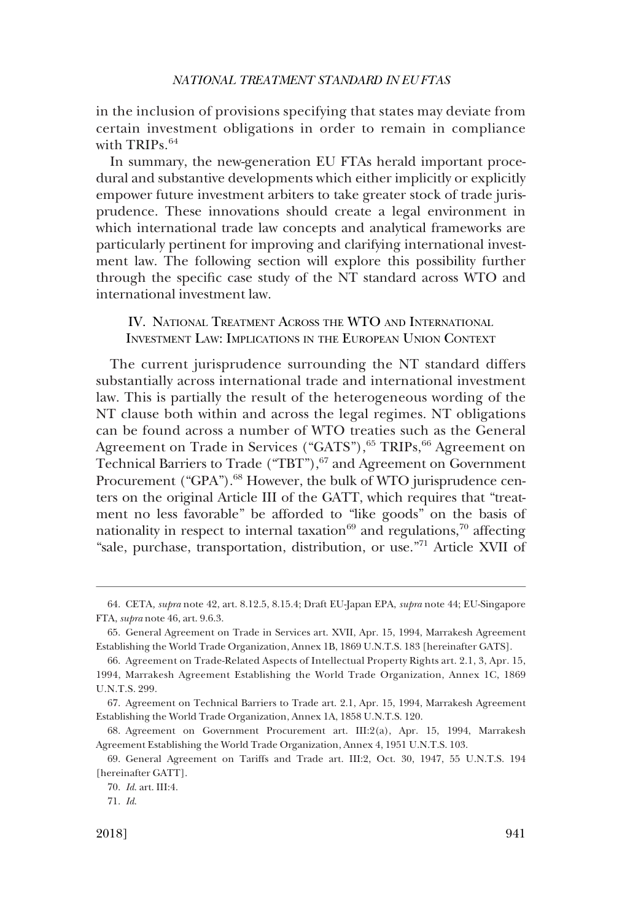<span id="page-12-0"></span>in the inclusion of provisions specifying that states may deviate from certain investment obligations in order to remain in compliance with TRIPs.<sup>64</sup>

In summary, the new-generation EU FTAs herald important procedural and substantive developments which either implicitly or explicitly empower future investment arbiters to take greater stock of trade jurisprudence. These innovations should create a legal environment in which international trade law concepts and analytical frameworks are particularly pertinent for improving and clarifying international investment law. The following section will explore this possibility further through the specific case study of the NT standard across WTO and international investment law.

IV. NATIONAL TREATMENT ACROSS THE WTO AND INTERNATIONAL INVESTMENT LAW: IMPLICATIONS IN THE EUROPEAN UNION CONTEXT

The current jurisprudence surrounding the NT standard differs substantially across international trade and international investment law. This is partially the result of the heterogeneous wording of the NT clause both within and across the legal regimes. NT obligations can be found across a number of WTO treaties such as the General Agreement on Trade in Services ("GATS"), 65 TRIPs, 66 Agreement on Technical Barriers to Trade ("TBT"), <sup>67</sup> and Agreement on Government Procurement ("GPA").<sup>68</sup> However, the bulk of WTO jurisprudence centers on the original Article III of the GATT, which requires that "treatment no less favorable" be afforded to "like goods" on the basis of nationality in respect to internal taxation $69$  and regulations,<sup>70</sup> affecting "sale, purchase, transportation, distribution, or use."71 Article XVII of

<sup>64.</sup> CETA*, supra* note 42, art. 8.12.5, 8.15.4; Draft EU-Japan EPA, *supra* note 44; EU-Singapore FTA, *supra* note 46, art. 9.6.3.

<sup>65.</sup> General Agreement on Trade in Services art. XVII, Apr. 15, 1994, Marrakesh Agreement Establishing the World Trade Organization, Annex 1B, 1869 U.N.T.S. 183 [hereinafter GATS].

<sup>66.</sup> Agreement on Trade-Related Aspects of Intellectual Property Rights art. 2.1, 3, Apr. 15, 1994, Marrakesh Agreement Establishing the World Trade Organization, Annex 1C, 1869 U.N.T.S. 299.

<sup>67.</sup> Agreement on Technical Barriers to Trade art. 2.1, Apr. 15, 1994, Marrakesh Agreement Establishing the World Trade Organization, Annex 1A, 1858 U.N.T.S. 120.

<sup>68.</sup> Agreement on Government Procurement art. III:2(a), Apr. 15, 1994, Marrakesh Agreement Establishing the World Trade Organization, Annex 4, 1951 U.N.T.S. 103.

<sup>69.</sup> General Agreement on Tariffs and Trade art. III:2, Oct. 30, 1947, 55 U.N.T.S. 194 [hereinafter GATT].

<sup>70.</sup> *Id*. art. III:4.

<sup>71.</sup> *Id*.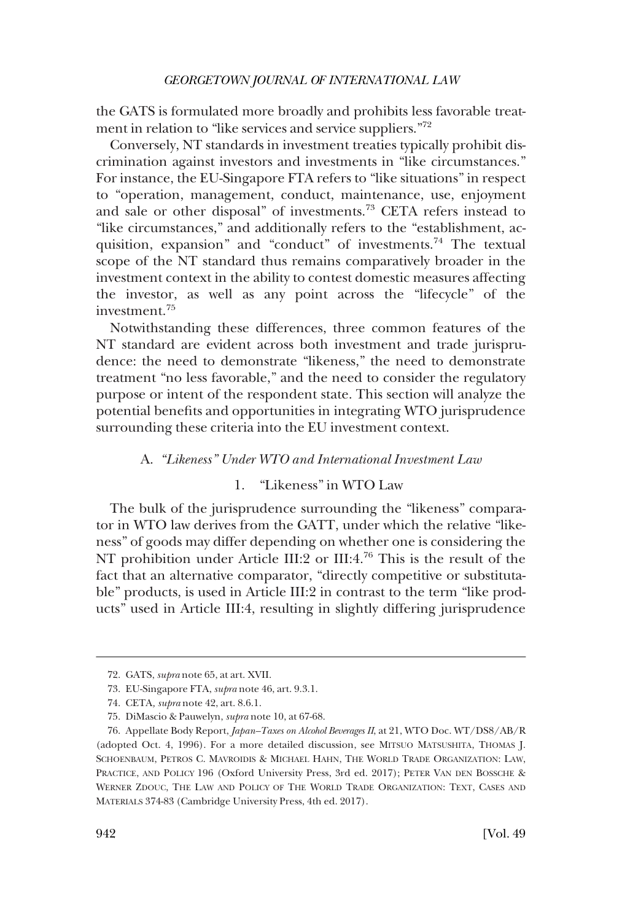<span id="page-13-0"></span>the GATS is formulated more broadly and prohibits less favorable treatment in relation to "like services and service suppliers."<sup>72</sup>

Conversely, NT standards in investment treaties typically prohibit discrimination against investors and investments in "like circumstances." For instance, the EU-Singapore FTA refers to "like situations" in respect to "operation, management, conduct, maintenance, use, enjoyment and sale or other disposal" of investments.73 CETA refers instead to "like circumstances," and additionally refers to the "establishment, acquisition, expansion" and "conduct" of investments.<sup>74</sup> The textual scope of the NT standard thus remains comparatively broader in the investment context in the ability to contest domestic measures affecting the investor, as well as any point across the "lifecycle" of the investment.75

Notwithstanding these differences, three common features of the NT standard are evident across both investment and trade jurisprudence: the need to demonstrate "likeness," the need to demonstrate treatment "no less favorable," and the need to consider the regulatory purpose or intent of the respondent state. This section will analyze the potential benefits and opportunities in integrating WTO jurisprudence surrounding these criteria into the EU investment context.

# A. *"Likeness" Under WTO and International Investment Law*

# 1. "Likeness" in WTO Law

The bulk of the jurisprudence surrounding the "likeness" comparator in WTO law derives from the GATT, under which the relative "likeness" of goods may differ depending on whether one is considering the NT prohibition under Article III:2 or III:4.<sup>76</sup> This is the result of the fact that an alternative comparator, "directly competitive or substitutable" products, is used in Article III:2 in contrast to the term "like products" used in Article III:4, resulting in slightly differing jurisprudence

<sup>72.</sup> GATS, *supra* note 65, at art. XVII.

<sup>73.</sup> EU-Singapore FTA, *supra* note 46, art. 9.3.1.

<sup>74.</sup> CETA*, supra* note 42, art. 8.6.1.

<sup>75.</sup> DiMascio & Pauwelyn, *supra* note 10, at 67-68.

<sup>76.</sup> Appellate Body Report, *Japan–Taxes on Alcohol Beverages II*, at 21, WTO Doc. WT/DS8/AB/R (adopted Oct. 4, 1996). For a more detailed discussion, see MITSUO MATSUSHITA, THOMAS J. SCHOENBAUM, PETROS C. MAVROIDIS & MICHAEL HAHN, THE WORLD TRADE ORGANIZATION: LAW, PRACTICE, AND POLICY 196 (Oxford University Press, 3rd ed. 2017); PETER VAN DEN BOSSCHE & WERNER ZDOUC, THE LAW AND POLICY OF THE WORLD TRADE ORGANIZATION: TEXT, CASES AND MATERIALS 374-83 (Cambridge University Press, 4th ed. 2017).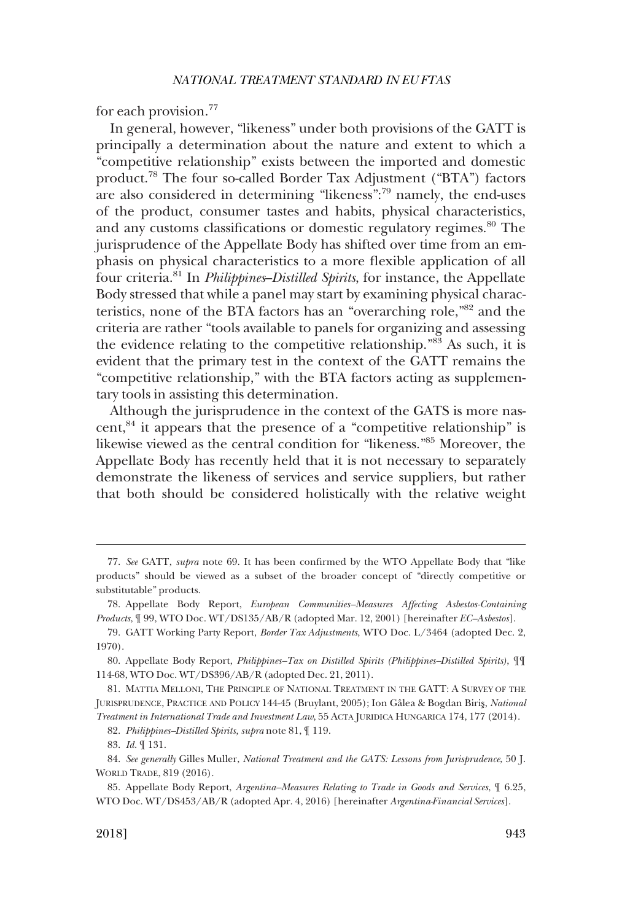for each provision.77

In general, however, "likeness" under both provisions of the GATT is principally a determination about the nature and extent to which a "competitive relationship" exists between the imported and domestic product.78 The four so-called Border Tax Adjustment ("BTA") factors are also considered in determining "likeness":79 namely, the end-uses of the product, consumer tastes and habits, physical characteristics, and any customs classifications or domestic regulatory regimes.<sup>80</sup> The jurisprudence of the Appellate Body has shifted over time from an emphasis on physical characteristics to a more flexible application of all four criteria.81 In *Philippines*–*Distilled Spirits*, for instance, the Appellate Body stressed that while a panel may start by examining physical characteristics, none of the BTA factors has an "overarching role,"82 and the criteria are rather "tools available to panels for organizing and assessing the evidence relating to the competitive relationship."83 As such, it is evident that the primary test in the context of the GATT remains the "competitive relationship," with the BTA factors acting as supplementary tools in assisting this determination.

Although the jurisprudence in the context of the GATS is more nascent, $84$  it appears that the presence of a "competitive relationship" is likewise viewed as the central condition for "likeness."85 Moreover, the Appellate Body has recently held that it is not necessary to separately demonstrate the likeness of services and service suppliers, but rather that both should be considered holistically with the relative weight

82. *Philippines–Distilled Spirits, supra* note 81, ¶ 119.

<sup>77.</sup> *See* GATT, *supra* note 69. It has been confirmed by the WTO Appellate Body that "like products" should be viewed as a subset of the broader concept of "directly competitive or substitutable" products.

<sup>78.</sup> Appellate Body Report, *European Communities–Measures Affecting Asbestos-Containing Products*, ¶ 99, WTO Doc. WT/DS135/AB/R (adopted Mar. 12, 2001) [hereinafter *EC–Asbestos*].

<sup>79.</sup> GATT Working Party Report, *Border Tax Adjustments*, WTO Doc. L/3464 (adopted Dec. 2, 1970).

<sup>80.</sup> Appellate Body Report, *Philippines–Tax on Distilled Spirits (Philippines–Distilled Spirits)*, ¶¶ 114-68, WTO Doc. WT/DS396/AB/R (adopted Dec. 21, 2011).

<sup>81.</sup> MATTIA MELLONI, THE PRINCIPLE OF NATIONAL TREATMENT IN THE GATT: A SURVEY OF THE JURISPRUDENCE, PRACTICE AND POLICY 144-45 (Bruylant, 2005); Ion Gâlea & Bogdan Biris, *National Treatment in International Trade and Investment Law*, 55 ACTA JURIDICA HUNGARICA 174, 177 (2014).

<sup>83.</sup> *Id.* ¶ 131.

<sup>84.</sup> *See generally* Gilles Muller, *National Treatment and the GATS: Lessons from Jurisprudence*, 50 J. WORLD TRADE, 819 (2016).

<sup>85.</sup> Appellate Body Report, *Argentina–Measures Relating to Trade in Goods and Services*, ¶ 6.25, WTO Doc. WT/DS453/AB/R (adopted Apr. 4, 2016) [hereinafter *Argentina-Financial Services*].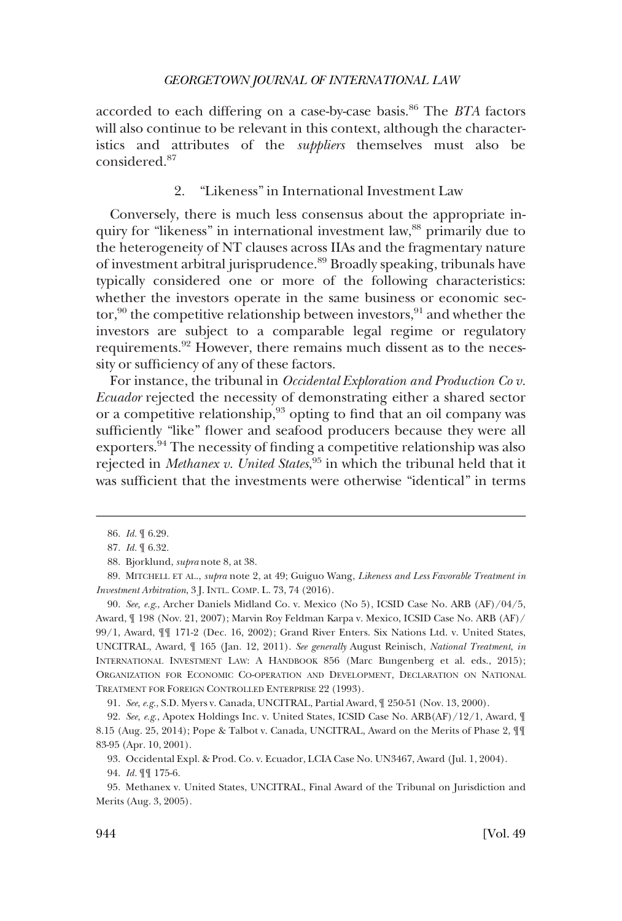<span id="page-15-0"></span>accorded to each differing on a case-by-case basis.86 The *BTA* factors will also continue to be relevant in this context, although the characteristics and attributes of the *suppliers* themselves must also be considered.<sup>87</sup>

# 2. "Likeness" in International Investment Law

Conversely, there is much less consensus about the appropriate inquiry for "likeness" in international investment law,<sup>88</sup> primarily due to the heterogeneity of NT clauses across IIAs and the fragmentary nature of investment arbitral jurisprudence.89 Broadly speaking, tribunals have typically considered one or more of the following characteristics: whether the investors operate in the same business or economic sector,<sup>90</sup> the competitive relationship between investors,<sup>91</sup> and whether the investors are subject to a comparable legal regime or regulatory requirements.<sup>92</sup> However, there remains much dissent as to the necessity or sufficiency of any of these factors.

For instance, the tribunal in *Occidental Exploration and Production Co v. Ecuador* rejected the necessity of demonstrating either a shared sector or a competitive relationship,<sup>93</sup> opting to find that an oil company was sufficiently "like" flower and seafood producers because they were all exporters.94 The necessity of finding a competitive relationship was also rejected in *Methanex v. United States*, 95 in which the tribunal held that it was sufficient that the investments were otherwise "identical" in terms

91. *See*, *e.g*., S.D. Myers v. Canada, UNCITRAL, Partial Award, ¶ 250-51 (Nov. 13, 2000).

<sup>86.</sup> *Id.* ¶ 6.29.

<sup>87.</sup> *Id.* ¶ 6.32.

<sup>88.</sup> Bjorklund, *supra* note 8, at 38.

<sup>89.</sup> MITCHELL ET AL., *supra* note 2, at 49; Guiguo Wang, *Likeness and Less Favorable Treatment in Investment Arbitration*, 3 J. INTL. COMP. L. 73, 74 (2016).

<sup>90.</sup> *See, e.g*., Archer Daniels Midland Co. v. Mexico (No 5), ICSID Case No. ARB (AF)/04/5, Award, ¶ 198 (Nov. 21, 2007); Marvin Roy Feldman Karpa v. Mexico, ICSID Case No. ARB (AF)/ 99/1, Award, ¶¶ 171-2 (Dec. 16, 2002); Grand River Enters. Six Nations Ltd. v. United States, UNCITRAL, Award, ¶ 165 (Jan. 12, 2011). *See generally* August Reinisch, *National Treatment*, *in*  INTERNATIONAL INVESTMENT LAW: A HANDBOOK 856 (Marc Bungenberg et al. eds., 2015); ORGANIZATION FOR ECONOMIC CO-OPERATION AND DEVELOPMENT, DECLARATION ON NATIONAL TREATMENT FOR FOREIGN CONTROLLED ENTERPRISE 22 (1993).

<sup>92.</sup> *See, e.g*., Apotex Holdings Inc. v. United States, ICSID Case No. ARB(AF)/12/1, Award, ¶ 8.15 (Aug. 25, 2014); Pope & Talbot v. Canada, UNCITRAL, Award on the Merits of Phase 2, ¶¶ 83-95 (Apr. 10, 2001).

<sup>93.</sup> Occidental Expl. & Prod. Co. v. Ecuador, LCIA Case No. UN3467, Award (Jul. 1, 2004).

<sup>94.</sup> *Id.* ¶¶ 175-6.

<sup>95.</sup> Methanex v. United States, UNCITRAL, Final Award of the Tribunal on Jurisdiction and Merits (Aug. 3, 2005).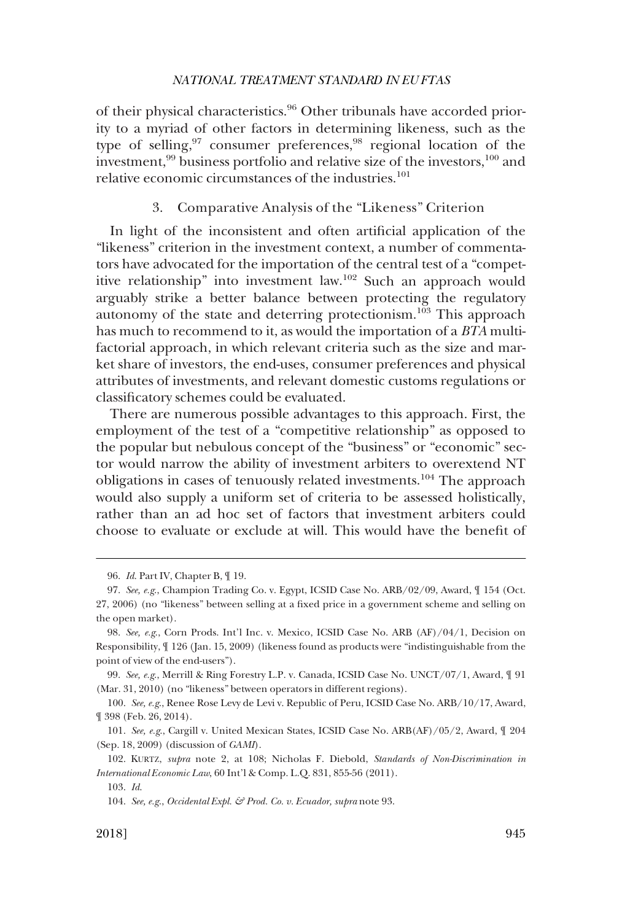<span id="page-16-0"></span>of their physical characteristics.<sup>96</sup> Other tribunals have accorded priority to a myriad of other factors in determining likeness, such as the type of selling,<sup>97</sup> consumer preferences,<sup>98</sup> regional location of the investment,<sup>99</sup> business portfolio and relative size of the investors, <sup>100</sup> and relative economic circumstances of the industries.<sup>101</sup>

# 3. Comparative Analysis of the "Likeness" Criterion

In light of the inconsistent and often artificial application of the "likeness" criterion in the investment context, a number of commentators have advocated for the importation of the central test of a "competitive relationship" into investment law.102 Such an approach would arguably strike a better balance between protecting the regulatory autonomy of the state and deterring protectionism.103 This approach has much to recommend to it, as would the importation of a *BTA* multifactorial approach, in which relevant criteria such as the size and market share of investors, the end-uses, consumer preferences and physical attributes of investments, and relevant domestic customs regulations or classificatory schemes could be evaluated.

There are numerous possible advantages to this approach. First, the employment of the test of a "competitive relationship" as opposed to the popular but nebulous concept of the "business" or "economic" sector would narrow the ability of investment arbiters to overextend NT obligations in cases of tenuously related investments.104 The approach would also supply a uniform set of criteria to be assessed holistically, rather than an ad hoc set of factors that investment arbiters could choose to evaluate or exclude at will. This would have the benefit of

<sup>96.</sup> *Id*. Part IV, Chapter B, ¶ 19.

<sup>97.</sup> *See, e.g*., Champion Trading Co. v. Egypt, ICSID Case No. ARB/02/09, Award, ¶ 154 (Oct. 27, 2006) (no "likeness" between selling at a fixed price in a government scheme and selling on the open market).

<sup>98.</sup> *See, e.g*., Corn Prods. Int'l Inc. v. Mexico, ICSID Case No. ARB (AF)/04/1, Decision on Responsibility, ¶ 126 (Jan. 15, 2009) (likeness found as products were "indistinguishable from the point of view of the end-users").

<sup>99.</sup> *See, e.g*., Merrill & Ring Forestry L.P. v. Canada, ICSID Case No. UNCT/07/1, Award, ¶ 91 (Mar. 31, 2010) (no "likeness" between operators in different regions).

<sup>100.</sup> *See, e.g*., Renee Rose Levy de Levi v. Republic of Peru, ICSID Case No. ARB/10/17, Award, ¶ 398 (Feb. 26, 2014).

<sup>101.</sup> *See, e.g*., Cargill v. United Mexican States, ICSID Case No. ARB(AF)/05/2, Award, ¶ 204 (Sep. 18, 2009) (discussion of *GAMI*).

<sup>102.</sup> KURTZ, *supra* note 2, at 108; Nicholas F. Diebold, *Standards of Non-Discrimination in International Economic Law*, 60 Int'l & Comp. L.Q. 831, 855-56 (2011).

<sup>103.</sup> *Id*.

<sup>104.</sup> *See, e.g*., *Occidental Expl. & Prod. Co. v. Ecuador, supra* note 93.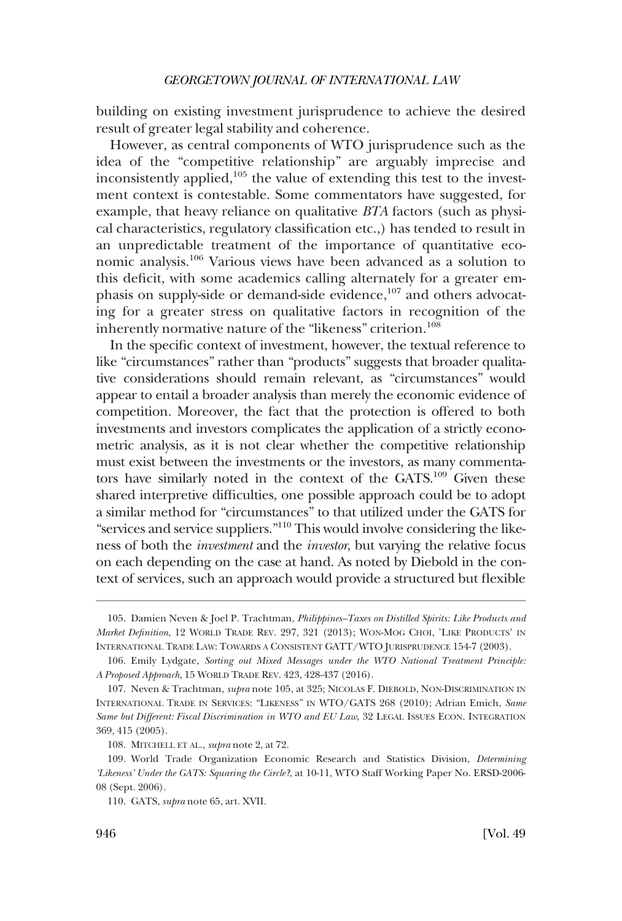building on existing investment jurisprudence to achieve the desired result of greater legal stability and coherence.

However, as central components of WTO jurisprudence such as the idea of the "competitive relationship" are arguably imprecise and inconsistently applied,105 the value of extending this test to the investment context is contestable. Some commentators have suggested, for example, that heavy reliance on qualitative *BTA* factors (such as physical characteristics, regulatory classification etc.,) has tended to result in an unpredictable treatment of the importance of quantitative economic analysis.106 Various views have been advanced as a solution to this deficit, with some academics calling alternately for a greater emphasis on supply-side or demand-side evidence, $107$  and others advocating for a greater stress on qualitative factors in recognition of the inherently normative nature of the "likeness" criterion.<sup>108</sup>

In the specific context of investment, however, the textual reference to like "circumstances" rather than "products" suggests that broader qualitative considerations should remain relevant, as "circumstances" would appear to entail a broader analysis than merely the economic evidence of competition. Moreover, the fact that the protection is offered to both investments and investors complicates the application of a strictly econometric analysis, as it is not clear whether the competitive relationship must exist between the investments or the investors, as many commentators have similarly noted in the context of the GATS.109 Given these shared interpretive difficulties, one possible approach could be to adopt a similar method for "circumstances" to that utilized under the GATS for "services and service suppliers."110 This would involve considering the likeness of both the *investment* and the *investor*, but varying the relative focus on each depending on the case at hand. As noted by Diebold in the context of services, such an approach would provide a structured but flexible

<sup>105.</sup> Damien Neven & Joel P. Trachtman, *Philippines–Taxes on Distilled Spirits: Like Products and Market Definition*, 12 WORLD TRADE REV. 297, 321 (2013); WON-MOG CHOI, 'LIKE PRODUCTS' IN INTERNATIONAL TRADE LAW: TOWARDS A CONSISTENT GATT/WTO JURISPRUDENCE 154-7 (2003).

<sup>106.</sup> Emily Lydgate, *Sorting out Mixed Messages under the WTO National Treatment Principle: A Proposed Approach*, 15 WORLD TRADE REV. 423, 428-437 (2016).

<sup>107.</sup> Neven & Trachtman, *supra* note 105, at 325; NICOLAS F. DIEBOLD, NON-DISCRIMINATION IN INTERNATIONAL TRADE IN SERVICES: "LIKENESS" IN WTO/GATS 268 (2010); Adrian Emich, *Same Same but Different: Fiscal Discrimination in WTO and EU Law*, 32 LEGAL ISSUES ECON. INTEGRATION 369, 415 (2005).

<sup>108.</sup> MITCHELL ET AL., *supra* note 2, at 72.

<sup>109.</sup> World Trade Organization Economic Research and Statistics Division, *Determining 'Likeness' Under the GATS: Squaring the Circle?*, at 10-11, WTO Staff Working Paper No. ERSD-2006- 08 (Sept. 2006).

<sup>110.</sup> GATS, *supra* note 65, art. XVII.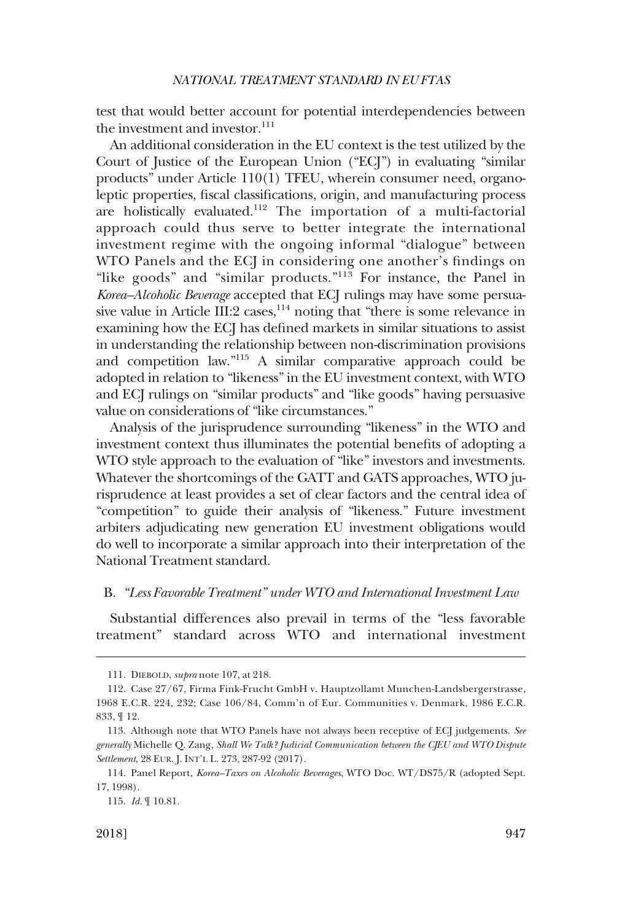<span id="page-18-0"></span>test that would better account for potential interdependencies between the investment and investor. $111$ 

An additional consideration in the EU context is the test utilized by the Court of Justice of the European Union ("ECJ") in evaluating "similar products" under Article 110(1) TFEU, wherein consumer need, organoleptic properties, fiscal classifications, origin, and manufacturing process are holistically evaluated.112 The importation of a multi-factorial approach could thus serve to better integrate the international investment regime with the ongoing informal "dialogue" between WTO Panels and the ECJ in considering one another's findings on "like goods" and "similar products."<sup>113</sup> For instance, the Panel in *Korea–Alcoholic Beverage* accepted that ECJ rulings may have some persuasive value in Article III:2 cases,  $114$  noting that "there is some relevance in examining how the ECJ has defined markets in similar situations to assist in understanding the relationship between non-discrimination provisions and competition law."115 A similar comparative approach could be adopted in relation to "likeness" in the EU investment context, with WTO and ECJ rulings on "similar products" and "like goods" having persuasive value on considerations of "like circumstances."

Analysis of the jurisprudence surrounding "likeness" in the WTO and investment context thus illuminates the potential benefits of adopting a WTO style approach to the evaluation of "like" investors and investments. Whatever the shortcomings of the GATT and GATS approaches, WTO jurisprudence at least provides a set of clear factors and the central idea of "competition" to guide their analysis of "likeness." Future investment arbiters adjudicating new generation EU investment obligations would do well to incorporate a similar approach into their interpretation of the National Treatment standard.

# B. *"Less Favorable Treatment" under WTO and International Investment Law*

Substantial differences also prevail in terms of the "less favorable treatment" standard across WTO and international investment

<sup>111.</sup> DIEBOLD, *supra* note 107, at 218.

<sup>112.</sup> Case 27/67, Firma Fink-Frucht GmbH v. Hauptzollamt Munchen-Landsbergerstrasse, 1968 E.C.R. 224, 232; Case 106/84, Comm'n of Eur. Communities v. Denmark, 1986 E.C.R. 833, ¶ 12.

<sup>113.</sup> Although note that WTO Panels have not always been receptive of ECJ judgements. *See generally* Michelle Q. Zang, *Shall We Talk? Judicial Communication between the CJEU and WTO Dispute Settlement*, 28 EUR. J. INT'L L. 273, 287-92 (2017).

<sup>114.</sup> Panel Report, *Korea–Taxes on Alcoholic Beverages*, WTO Doc. WT/DS75/R (adopted Sept. 17, 1998).

<sup>115.</sup> *Id.* ¶ 10.81.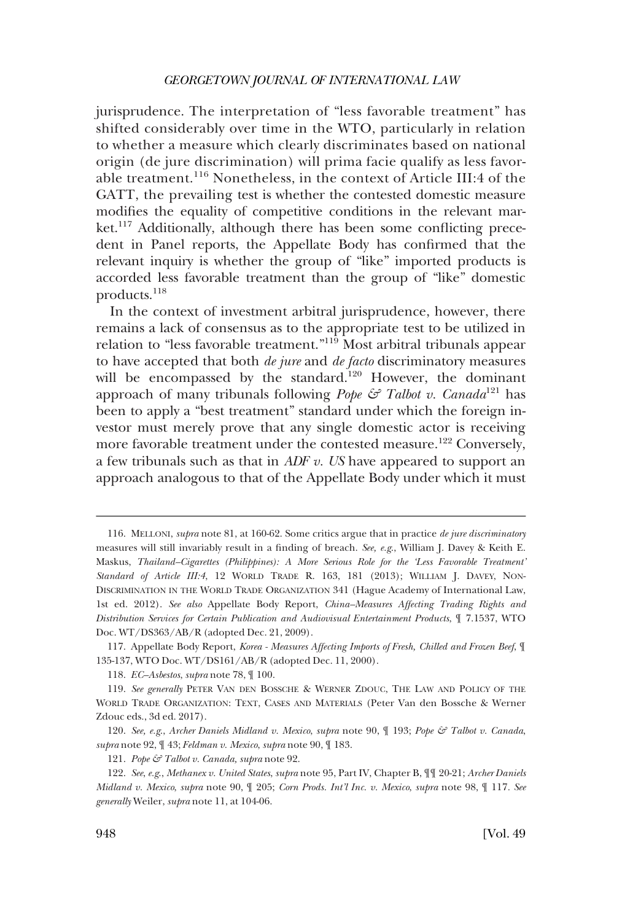jurisprudence. The interpretation of "less favorable treatment" has shifted considerably over time in the WTO, particularly in relation to whether a measure which clearly discriminates based on national origin (de jure discrimination) will prima facie qualify as less favorable treatment.116 Nonetheless, in the context of Article III:4 of the GATT, the prevailing test is whether the contested domestic measure modifies the equality of competitive conditions in the relevant mar $ket$ <sup>117</sup> Additionally, although there has been some conflicting precedent in Panel reports, the Appellate Body has confirmed that the relevant inquiry is whether the group of "like" imported products is accorded less favorable treatment than the group of "like" domestic products.118

In the context of investment arbitral jurisprudence, however, there remains a lack of consensus as to the appropriate test to be utilized in relation to "less favorable treatment."119 Most arbitral tribunals appear to have accepted that both *de jure* and *de facto* discriminatory measures will be encompassed by the standard.<sup>120</sup> However, the dominant approach of many tribunals following *Pope & Talbot v. Canada*121 has been to apply a "best treatment" standard under which the foreign investor must merely prove that any single domestic actor is receiving more favorable treatment under the contested measure.<sup>122</sup> Conversely, a few tribunals such as that in *ADF v. US* have appeared to support an approach analogous to that of the Appellate Body under which it must

117. Appellate Body Report, *Korea - Measures Affecting Imports of Fresh, Chilled and Frozen Beef*, ¶ 135-137, WTO Doc. WT/DS161/AB/R (adopted Dec. 11, 2000).

120. *See, e.g*., *Archer Daniels Midland v. Mexico*, *supra* note 90, ¶ 193; *Pope & Talbot v. Canada*, *supra* note 92, ¶ 43; *Feldman v. Mexico*, *supra* note 90, ¶ 183.

<sup>116.</sup> MELLONI, *supra* note 81, at 160-62. Some critics argue that in practice *de jure discriminatory*  measures will still invariably result in a finding of breach. *See, e.g*., William J. Davey & Keith E. Maskus, *Thailand–Cigarettes (Philippines): A More Serious Role for the 'Less Favorable Treatment' Standard of Article III:4*, 12 WORLD TRADE R. 163, 181 (2013); WILLIAM J. DAVEY, NON-DISCRIMINATION IN THE WORLD TRADE ORGANIZATION 341 (Hague Academy of International Law, 1st ed. 2012). *See also* Appellate Body Report, *China–Measures Affecting Trading Rights and Distribution Services for Certain Publication and Audiovisual Entertainment Products*, ¶ 7.1537, WTO Doc. WT/DS363/AB/R (adopted Dec. 21, 2009).

<sup>118.</sup> *EC–Asbestos*, *supra* note 78, ¶ 100.

<sup>119.</sup> *See generally* PETER VAN DEN BOSSCHE & WERNER ZDOUC, THE LAW AND POLICY OF THE WORLD TRADE ORGANIZATION: TEXT, CASES AND MATERIALS (Peter Van den Bossche & Werner Zdouc eds., 3d ed. 2017).

<sup>121.</sup> *Pope & Talbot v. Canada, supra* note 92.

<sup>122.</sup> *See*, *e.g*., *Methanex v. United States*, *supra* note 95, Part IV, Chapter B, ¶¶ 20-21; *Archer Daniels Midland v. Mexico*, *supra* note 90, ¶ 205; *Corn Prods. Int'l Inc. v. Mexico*, *supra* note 98, ¶ 117*. See generally* Weiler, *supra* note 11, at 104-06.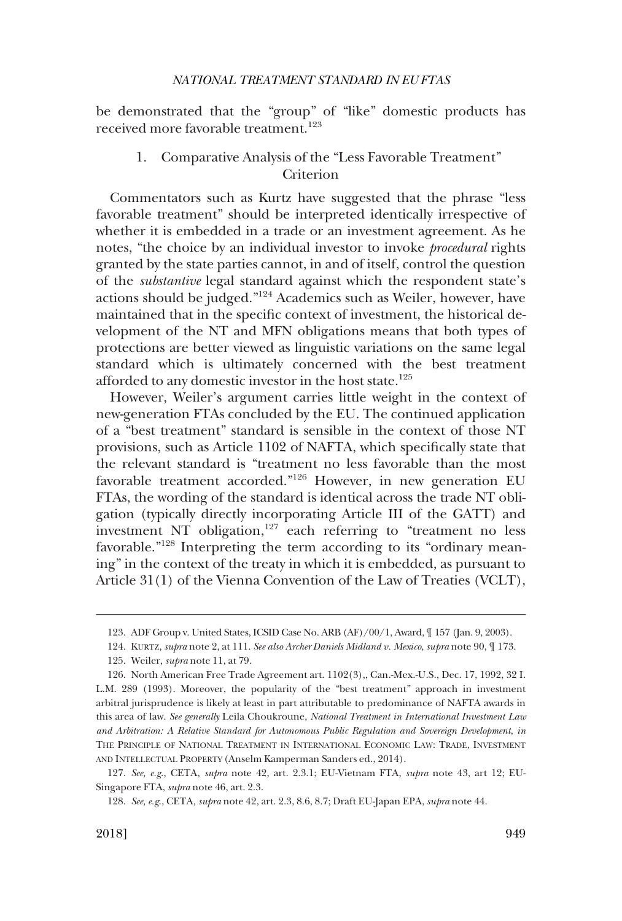<span id="page-20-0"></span>be demonstrated that the "group" of "like" domestic products has received more favorable treatment.<sup>123</sup>

# 1. Comparative Analysis of the "Less Favorable Treatment" Criterion

Commentators such as Kurtz have suggested that the phrase "less favorable treatment" should be interpreted identically irrespective of whether it is embedded in a trade or an investment agreement. As he notes, "the choice by an individual investor to invoke *procedural* rights granted by the state parties cannot, in and of itself, control the question of the *substantive* legal standard against which the respondent state's actions should be judged."124 Academics such as Weiler, however, have maintained that in the specific context of investment, the historical development of the NT and MFN obligations means that both types of protections are better viewed as linguistic variations on the same legal standard which is ultimately concerned with the best treatment afforded to any domestic investor in the host state.<sup>125</sup>

However, Weiler's argument carries little weight in the context of new-generation FTAs concluded by the EU. The continued application of a "best treatment" standard is sensible in the context of those NT provisions, such as Article 1102 of NAFTA, which specifically state that the relevant standard is "treatment no less favorable than the most favorable treatment accorded."126 However, in new generation EU FTAs, the wording of the standard is identical across the trade NT obligation (typically directly incorporating Article III of the GATT) and investment NT obligation,<sup>127</sup> each referring to "treatment no less favorable."<sup>128</sup> Interpreting the term according to its "ordinary meaning" in the context of the treaty in which it is embedded, as pursuant to Article 31(1) of the Vienna Convention of the Law of Treaties (VCLT),

<sup>123.</sup> ADF Group v. United States, ICSID Case No. ARB (AF)/00/1, Award, ¶ 157 (Jan. 9, 2003).

<sup>124.</sup> KURTZ, *supra* note 2, at 111. *See also Archer Daniels Midland v. Mexico*, *supra* note 90, ¶ 173.

<sup>125.</sup> Weiler, *supra* note 11, at 79.

<sup>126.</sup> North American Free Trade Agreement art. 1102(3),, Can.-Mex.-U.S., Dec. 17, 1992, 32 I. L.M. 289 (1993). Moreover, the popularity of the "best treatment" approach in investment arbitral jurisprudence is likely at least in part attributable to predominance of NAFTA awards in this area of law. *See generally* Leila Choukroune, *National Treatment in International Investment Law and Arbitration: A Relative Standard for Autonomous Public Regulation and Sovereign Development*, *in*  THE PRINCIPLE OF NATIONAL TREATMENT IN INTERNATIONAL ECONOMIC LAW: TRADE, INVESTMENT AND INTELLECTUAL PROPERTY (Anselm Kamperman Sanders ed., 2014).

<sup>127.</sup> *See, e.g*., CETA*, supra* note 42, art. 2.3.1; EU-Vietnam FTA, *supra* note 43, art 12; EU-Singapore FTA, *supra* note 46, art. 2.3.

<sup>128.</sup> *See, e.g*., CETA*, supra* note 42, art. 2.3, 8.6, 8.7; Draft EU-Japan EPA, *supra* note 44.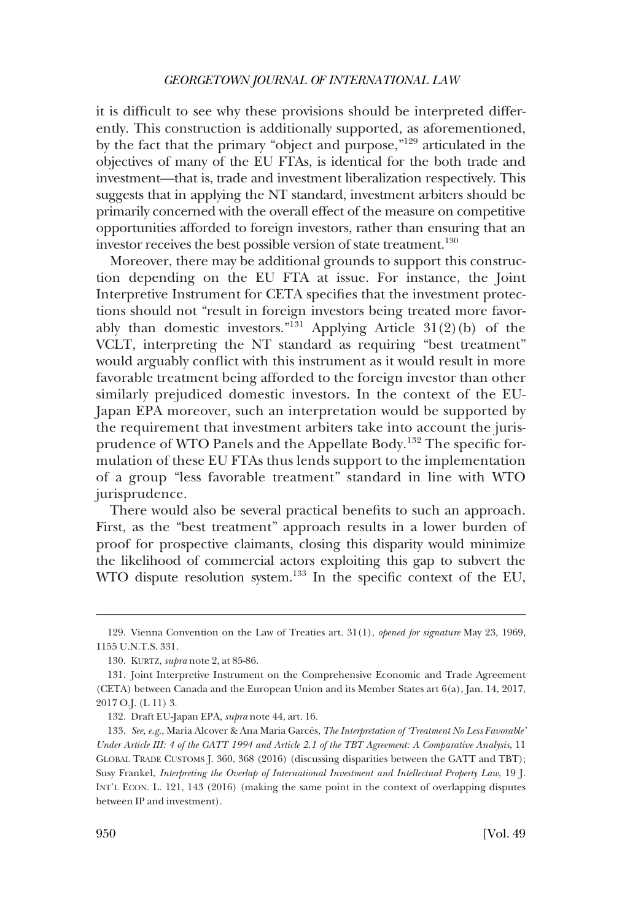it is difficult to see why these provisions should be interpreted differently. This construction is additionally supported, as aforementioned, by the fact that the primary "object and purpose,"129 articulated in the objectives of many of the EU FTAs, is identical for the both trade and investment—that is, trade and investment liberalization respectively. This suggests that in applying the NT standard, investment arbiters should be primarily concerned with the overall effect of the measure on competitive opportunities afforded to foreign investors, rather than ensuring that an investor receives the best possible version of state treatment.<sup>130</sup>

Moreover, there may be additional grounds to support this construction depending on the EU FTA at issue. For instance, the Joint Interpretive Instrument for CETA specifies that the investment protections should not "result in foreign investors being treated more favorably than domestic investors."<sup>131</sup> Applying Article 31(2)(b) of the VCLT, interpreting the NT standard as requiring "best treatment" would arguably conflict with this instrument as it would result in more favorable treatment being afforded to the foreign investor than other similarly prejudiced domestic investors. In the context of the EU-Japan EPA moreover, such an interpretation would be supported by the requirement that investment arbiters take into account the jurisprudence of WTO Panels and the Appellate Body.132 The specific formulation of these EU FTAs thus lends support to the implementation of a group "less favorable treatment" standard in line with WTO jurisprudence.

There would also be several practical benefits to such an approach. First, as the "best treatment" approach results in a lower burden of proof for prospective claimants, closing this disparity would minimize the likelihood of commercial actors exploiting this gap to subvert the WTO dispute resolution system.<sup>133</sup> In the specific context of the EU,

<sup>129.</sup> Vienna Convention on the Law of Treaties art. 31(1), *opened for signature* May 23, 1969, 1155 U.N.T.S. 331.

<sup>130.</sup> KURTZ, *supra* note 2, at 85-86.

<sup>131.</sup> Joint Interpretive Instrument on the Comprehensive Economic and Trade Agreement (CETA) between Canada and the European Union and its Member States art 6(a), Jan. 14, 2017, 2017 O.J. (L 11) 3.

<sup>132.</sup> Draft EU-Japan EPA, *supra* note 44, art. 16.

<sup>133.</sup> See, e.g., Maria Alcover & Ana Maria Garcés, *The Interpretation of 'Treatment No Less Favorable' Under Article III: 4 of the GATT 1994 and Article 2.1 of the TBT Agreement: A Comparative Analysis*, 11 GLOBAL TRADE CUSTOMS J. 360, 368 (2016) (discussing disparities between the GATT and TBT); Susy Frankel, *Interpreting the Overlap of International Investment and Intellectual Property Law*, 19 J. INT'L ECON. L. 121, 143 (2016) (making the same point in the context of overlapping disputes between IP and investment).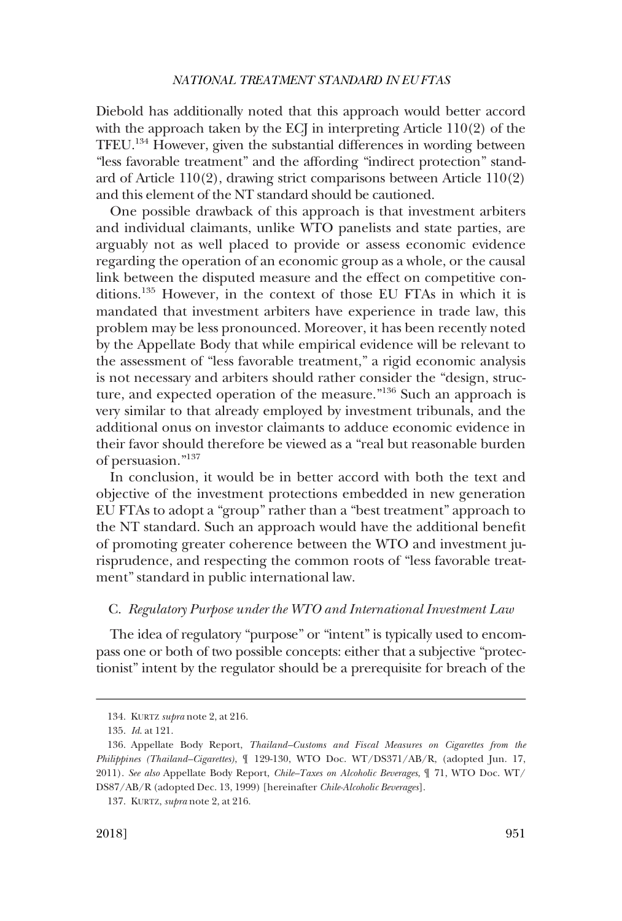<span id="page-22-0"></span>Diebold has additionally noted that this approach would better accord with the approach taken by the ECJ in interpreting Article 110(2) of the TFEU.134 However, given the substantial differences in wording between "less favorable treatment" and the affording "indirect protection" standard of Article 110(2), drawing strict comparisons between Article 110(2) and this element of the NT standard should be cautioned.

One possible drawback of this approach is that investment arbiters and individual claimants, unlike WTO panelists and state parties, are arguably not as well placed to provide or assess economic evidence regarding the operation of an economic group as a whole, or the causal link between the disputed measure and the effect on competitive conditions.135 However, in the context of those EU FTAs in which it is mandated that investment arbiters have experience in trade law, this problem may be less pronounced. Moreover, it has been recently noted by the Appellate Body that while empirical evidence will be relevant to the assessment of "less favorable treatment," a rigid economic analysis is not necessary and arbiters should rather consider the "design, structure, and expected operation of the measure."136 Such an approach is very similar to that already employed by investment tribunals, and the additional onus on investor claimants to adduce economic evidence in their favor should therefore be viewed as a "real but reasonable burden of persuasion."137

In conclusion, it would be in better accord with both the text and objective of the investment protections embedded in new generation EU FTAs to adopt a "group" rather than a "best treatment" approach to the NT standard. Such an approach would have the additional benefit of promoting greater coherence between the WTO and investment jurisprudence, and respecting the common roots of "less favorable treatment" standard in public international law.

# C. *Regulatory Purpose under the WTO and International Investment Law*

The idea of regulatory "purpose" or "intent" is typically used to encompass one or both of two possible concepts: either that a subjective "protectionist" intent by the regulator should be a prerequisite for breach of the

<sup>134.</sup> KURTZ *supra* note 2, at 216.

<sup>135.</sup> *Id*. at 121.

<sup>136.</sup> Appellate Body Report, *Thailand–Customs and Fiscal Measures on Cigarettes from the Philippines (Thailand–Cigarettes)*, ¶ 129-130, WTO Doc. WT/DS371/AB/R, (adopted Jun. 17, 2011). *See also* Appellate Body Report, *Chile–Taxes on Alcoholic Beverages*, ¶ 71, WTO Doc. WT/ DS87/AB/R (adopted Dec. 13, 1999) [hereinafter *Chile-Alcoholic Beverages*].

<sup>137.</sup> KURTZ, *supra* note 2, at 216.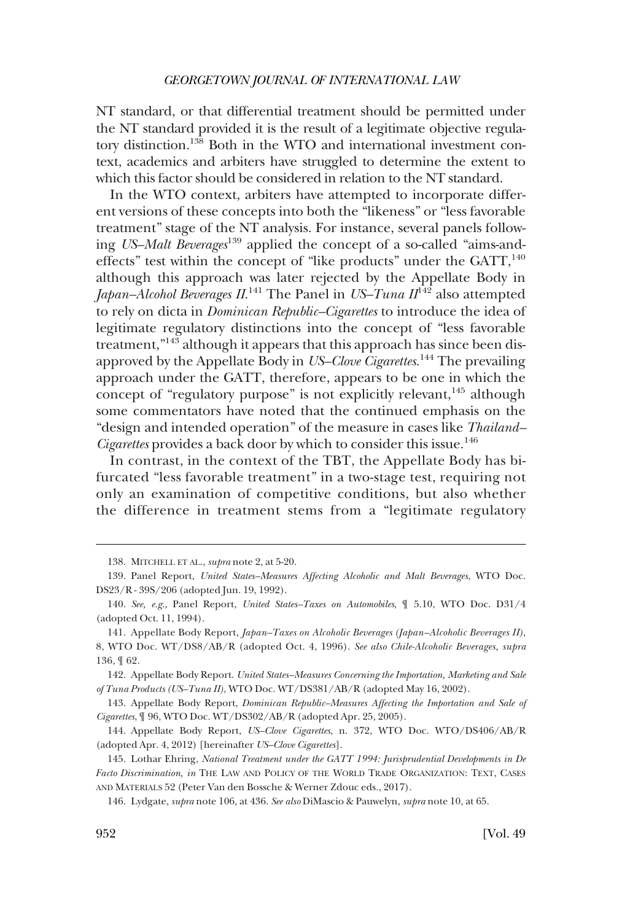NT standard, or that differential treatment should be permitted under the NT standard provided it is the result of a legitimate objective regulatory distinction.138 Both in the WTO and international investment context, academics and arbiters have struggled to determine the extent to which this factor should be considered in relation to the NT standard.

In the WTO context, arbiters have attempted to incorporate different versions of these concepts into both the "likeness" or "less favorable treatment" stage of the NT analysis. For instance, several panels following *US–Malt Beverages*139 applied the concept of a so-called "aims-andeffects" test within the concept of "like products" under the  $GATT$ ,<sup>140</sup> although this approach was later rejected by the Appellate Body in *Japan–Alcohol Beverages II*.<sup>141</sup> The Panel in *US–Tuna II*<sup>142</sup> also attempted to rely on dicta in *Dominican Republic–Cigarettes* to introduce the idea of legitimate regulatory distinctions into the concept of "less favorable treatment,"143 although it appears that this approach has since been disapproved by the Appellate Body in *US–Clove Cigarettes*. 144 The prevailing approach under the GATT, therefore, appears to be one in which the concept of "regulatory purpose" is not explicitly relevant, $145$  although some commentators have noted that the continued emphasis on the "design and intended operation" of the measure in cases like *Thailand– Cigarettes* provides a back door by which to consider this issue.<sup>146</sup>

In contrast, in the context of the TBT, the Appellate Body has bifurcated "less favorable treatment" in a two-stage test, requiring not only an examination of competitive conditions, but also whether the difference in treatment stems from a "legitimate regulatory

<sup>138.</sup> MITCHELL ET AL., *supra* note 2, at 5-20.

<sup>139.</sup> Panel Report, *United States–Measures Affecting Alcoholic and Malt Beverages*, WTO Doc. DS23/R - 39S/206 (adopted Jun. 19, 1992).

<sup>140.</sup> *See, e.g*., Panel Report, *United States–Taxes on Automobiles*, ¶ 5.10, WTO Doc. D31/4 (adopted Oct. 11, 1994).

<sup>141.</sup> Appellate Body Report, *Japan–Taxes on Alcoholic Beverages (Japan–Alcoholic Beverages II)*, 8, WTO Doc. WT/DS8/AB/R (adopted Oct. 4, 1996). *See also Chile-Alcoholic Beverages, supra*  136, ¶ 62.

<sup>142.</sup> Appellate Body Report. *United States–Measures Concerning the Importation, Marketing and Sale of Tuna Products (US–Tuna II)*, WTO Doc. WT/DS381/AB/R (adopted May 16, 2002).

<sup>143.</sup> Appellate Body Report, *Dominican Republic–Measures Affecting the Importation and Sale of Cigarettes*, ¶ 96, WTO Doc. WT/DS302/AB/R (adopted Apr. 25, 2005).

<sup>144.</sup> Appellate Body Report, *US–Clove Cigarettes*, n. 372, WTO Doc. WTO/DS406/AB/R (adopted Apr. 4, 2012) [hereinafter *US–Clove Cigarettes*].

<sup>145.</sup> Lothar Ehring, *National Treatment under the GATT 1994: Jurisprudential Developments in De Facto Discrimination, in* THE LAW AND POLICY OF THE WORLD TRADE ORGANIZATION: TEXT, CASES AND MATERIALS 52 (Peter Van den Bossche & Werner Zdouc eds., 2017).

<sup>146.</sup> Lydgate, *supra* note 106, at 436. *See also* DiMascio & Pauwelyn, *supra* note 10, at 65.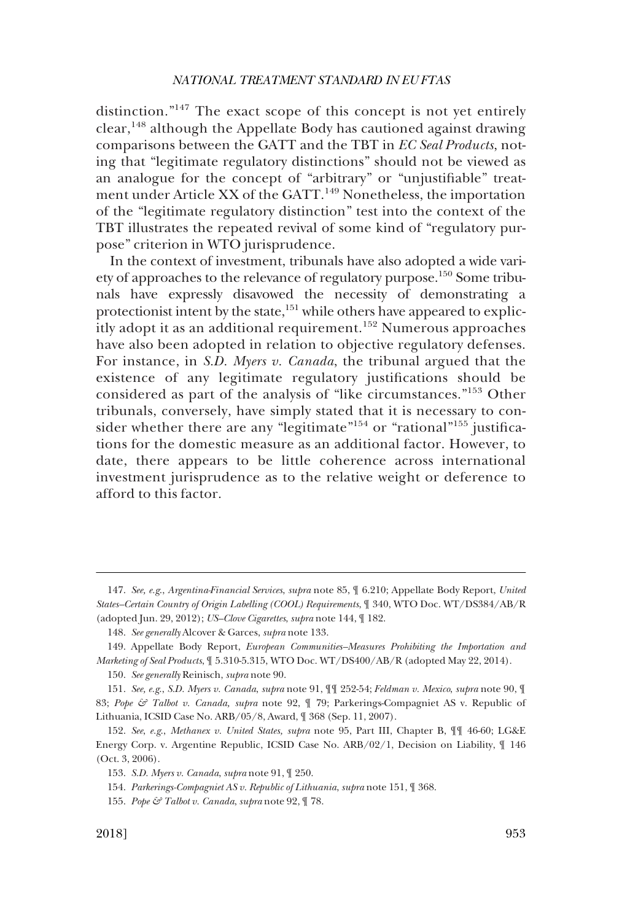distinction."147 The exact scope of this concept is not yet entirely  $clear<sup>148</sup>$  although the Appellate Body has cautioned against drawing comparisons between the GATT and the TBT in *EC Seal Products*, noting that "legitimate regulatory distinctions" should not be viewed as an analogue for the concept of "arbitrary" or "unjustifiable" treatment under Article XX of the GATT.<sup>149</sup> Nonetheless, the importation of the "legitimate regulatory distinction" test into the context of the TBT illustrates the repeated revival of some kind of "regulatory purpose" criterion in WTO jurisprudence.

In the context of investment, tribunals have also adopted a wide variety of approaches to the relevance of regulatory purpose.150 Some tribunals have expressly disavowed the necessity of demonstrating a protectionist intent by the state,<sup>151</sup> while others have appeared to explicitly adopt it as an additional requirement.<sup>152</sup> Numerous approaches have also been adopted in relation to objective regulatory defenses. For instance, in *S.D. Myers v. Canada*, the tribunal argued that the existence of any legitimate regulatory justifications should be considered as part of the analysis of "like circumstances."153 Other tribunals, conversely, have simply stated that it is necessary to consider whether there are any "legitimate"<sup>154</sup> or "rational"<sup>155</sup> justifications for the domestic measure as an additional factor. However, to date, there appears to be little coherence across international investment jurisprudence as to the relative weight or deference to afford to this factor.

<sup>147.</sup> *See, e.g*., *Argentina-Financial Services*, *supra* note 85, ¶ 6.210; Appellate Body Report, *United States–Certain Country of Origin Labelling (COOL) Requirements*, ¶ 340, WTO Doc. WT/DS384/AB/R (adopted Jun. 29, 2012); *US–Clove Cigarettes*, *supra* note 144, ¶ 182.

<sup>148.</sup> *See generally* Alcover & Garces, *supra* note 133.

<sup>149.</sup> Appellate Body Report, *European Communities–Measures Prohibiting the Importation and Marketing of Seal Products*, ¶ 5.310-5.315, WTO Doc. WT/DS400/AB/R (adopted May 22, 2014).

<sup>150.</sup> *See generally* Reinisch, *supra* note 90.

<sup>151.</sup> *See, e.g*., *S.D. Myers v. Canada*, *supra* note 91, ¶¶ 252-54; *Feldman v. Mexico*, *supra* note 90, ¶ 83; *Pope & Talbot v. Canada, supra* note 92, ¶ 79; Parkerings-Compagniet AS v. Republic of Lithuania, ICSID Case No. ARB/05/8, Award, ¶ 368 (Sep. 11, 2007).

<sup>152.</sup> *See*, *e.g*., *Methanex v. United States, supra* note 95, Part III, Chapter B, ¶¶ 46-60; LG&E Energy Corp. v. Argentine Republic, ICSID Case No. ARB/02/1, Decision on Liability, ¶ 146 (Oct. 3, 2006).

<sup>153.</sup> *S.D. Myers v. Canada*, *supra* note 91, ¶ 250.

<sup>154.</sup> *Parkerings-Compagniet AS v. Republic of Lithuania*, *supra* note 151, ¶ 368.

<sup>155.</sup> *Pope & Talbot v. Canada*, *supra* note 92, ¶ 78.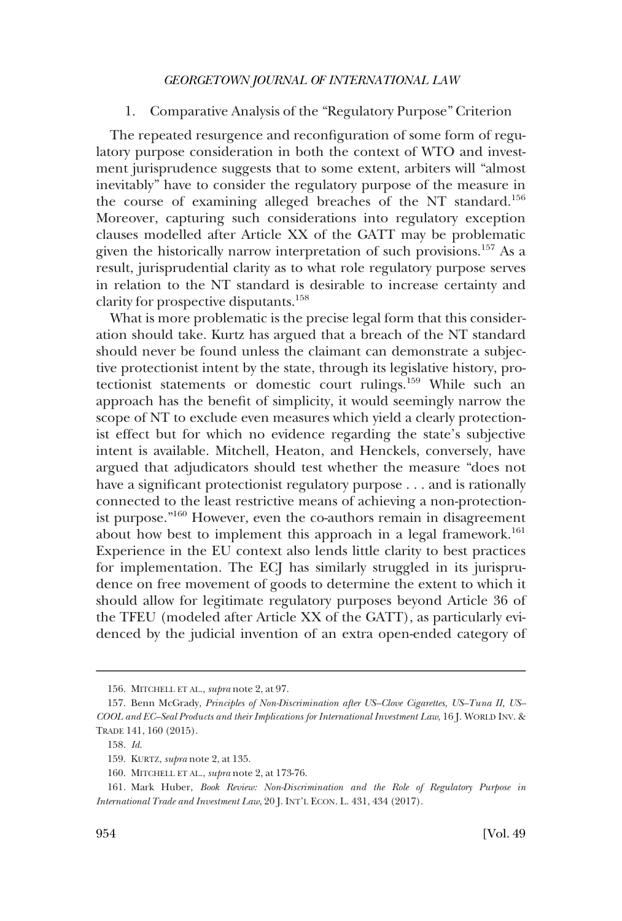# 1. Comparative Analysis of the "Regulatory Purpose" Criterion

<span id="page-25-0"></span>The repeated resurgence and reconfiguration of some form of regulatory purpose consideration in both the context of WTO and investment jurisprudence suggests that to some extent, arbiters will "almost inevitably" have to consider the regulatory purpose of the measure in the course of examining alleged breaches of the NT standard.<sup>156</sup> Moreover, capturing such considerations into regulatory exception clauses modelled after Article XX of the GATT may be problematic given the historically narrow interpretation of such provisions.<sup>157</sup> As a result, jurisprudential clarity as to what role regulatory purpose serves in relation to the NT standard is desirable to increase certainty and clarity for prospective disputants.<sup>158</sup>

What is more problematic is the precise legal form that this consideration should take. Kurtz has argued that a breach of the NT standard should never be found unless the claimant can demonstrate a subjective protectionist intent by the state, through its legislative history, protectionist statements or domestic court rulings.159 While such an approach has the benefit of simplicity, it would seemingly narrow the scope of NT to exclude even measures which yield a clearly protectionist effect but for which no evidence regarding the state's subjective intent is available. Mitchell, Heaton, and Henckels, conversely, have argued that adjudicators should test whether the measure "does not have a significant protectionist regulatory purpose . . . and is rationally connected to the least restrictive means of achieving a non-protectionist purpose."160 However, even the co-authors remain in disagreement about how best to implement this approach in a legal framework.<sup>161</sup> Experience in the EU context also lends little clarity to best practices for implementation. The ECJ has similarly struggled in its jurisprudence on free movement of goods to determine the extent to which it should allow for legitimate regulatory purposes beyond Article 36 of the TFEU (modeled after Article XX of the GATT), as particularly evidenced by the judicial invention of an extra open-ended category of

<sup>156.</sup> MITCHELL ET AL., *supra* note 2, at 97.

<sup>157.</sup> Benn McGrady, *Principles of Non-Discrimination after US–Clove Cigarettes, US–Tuna II, US– COOL and EC–Seal Products and their Implications for International Investment Law*, 16 J. WORLD INV. & TRADE 141, 160 (2015).

<sup>158.</sup> *Id*.

<sup>159.</sup> KURTZ, *supra* note 2, at 135.

<sup>160.</sup> MITCHELL ET AL., *supra* note 2, at 173-76.

<sup>161.</sup> Mark Huber, *Book Review: Non-Discrimination and the Role of Regulatory Purpose in International Trade and Investment Law*, 20 J. INT'L ECON. L. 431, 434 (2017).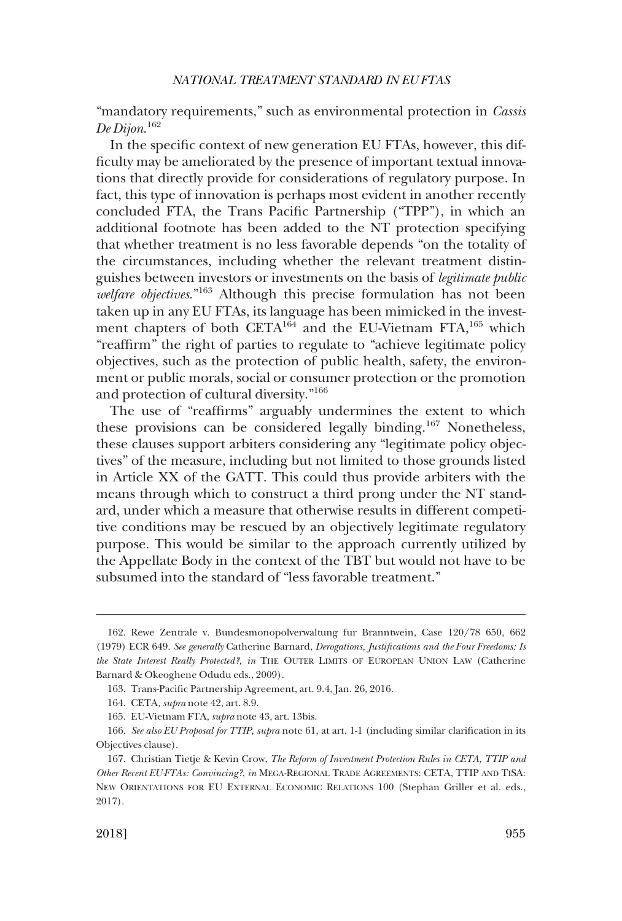"mandatory requirements," such as environmental protection in *Cassis De Dijon*. 162

In the specific context of new generation EU FTAs, however, this difficulty may be ameliorated by the presence of important textual innovations that directly provide for considerations of regulatory purpose. In fact, this type of innovation is perhaps most evident in another recently concluded FTA, the Trans Pacific Partnership ("TPP"), in which an additional footnote has been added to the NT protection specifying that whether treatment is no less favorable depends "on the totality of the circumstances, including whether the relevant treatment distinguishes between investors or investments on the basis of *legitimate public welfare objectives*."163 Although this precise formulation has not been taken up in any EU FTAs, its language has been mimicked in the investment chapters of both  $CETA^{164}$  and the EU-Vietnam  $FTA^{165}$  which "reaffirm" the right of parties to regulate to "achieve legitimate policy objectives, such as the protection of public health, safety, the environment or public morals, social or consumer protection or the promotion and protection of cultural diversity."<sup>166</sup>

The use of "reaffirms" arguably undermines the extent to which these provisions can be considered legally binding.<sup>167</sup> Nonetheless, these clauses support arbiters considering any "legitimate policy objectives" of the measure, including but not limited to those grounds listed in Article XX of the GATT. This could thus provide arbiters with the means through which to construct a third prong under the NT standard, under which a measure that otherwise results in different competitive conditions may be rescued by an objectively legitimate regulatory purpose. This would be similar to the approach currently utilized by the Appellate Body in the context of the TBT but would not have to be subsumed into the standard of "less favorable treatment."

<sup>162.</sup> Rewe Zentrale v. Bundesmonopolverwaltung fur Branntwein, Case 120/78 650, 662 (1979) ECR 649. *See generally* Catherine Barnard, *Derogations, Justifications and the Four Freedoms: Is the State Interest Really Protected?, in* THE OUTER LIMITS OF EUROPEAN UNION LAW (Catherine Barnard & Okeoghene Odudu eds., 2009).

<sup>163.</sup> Trans-Pacific Partnership Agreement, art. 9.4, Jan. 26, 2016.

<sup>164.</sup> CETA*, supra* note 42, art. 8.9.

<sup>165.</sup> EU-Vietnam FTA, *supra* note 43, art. 13bis.

<sup>166.</sup> *See also EU Proposal for TTIP*, *supra* note 61, at art. 1-1 (including similar clarification in its Objectives clause).

<sup>167.</sup> Christian Tietje & Kevin Crow, *The Reform of Investment Protection Rules in CETA, TTIP and Other Recent EU-FTAs: Convincing?*, *in* MEGA-REGIONAL TRADE AGREEMENTS: CETA, TTIP AND TISA: NEW ORIENTATIONS FOR EU EXTERNAL ECONOMIC RELATIONS 100 (Stephan Griller et al. eds., 2017).